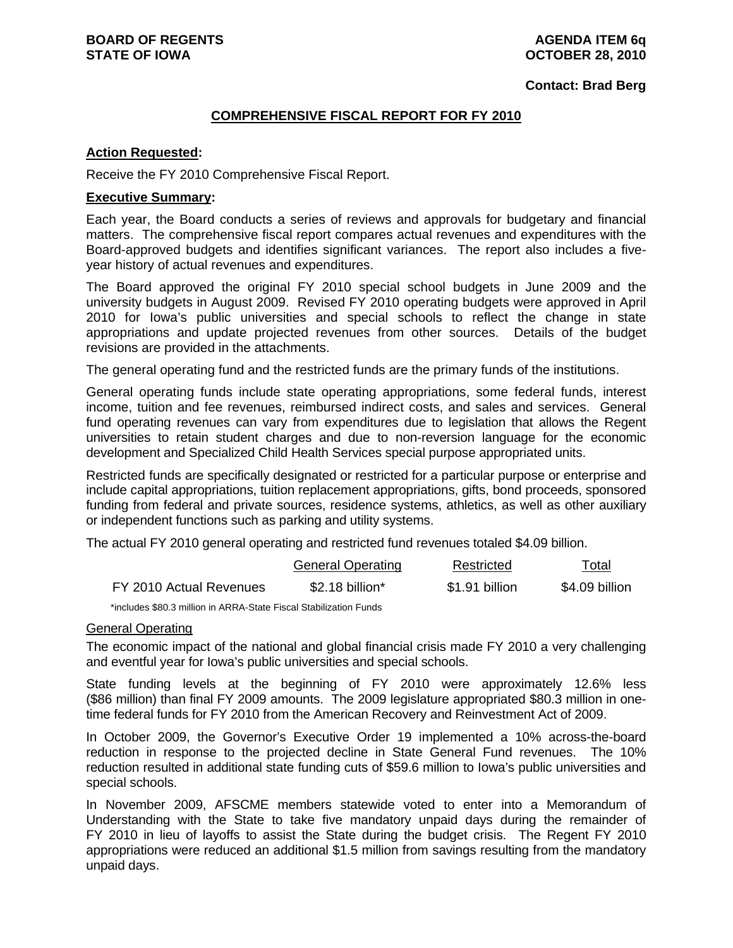#### **Contact: Brad Berg**

#### **COMPREHENSIVE FISCAL REPORT FOR FY 2010**

#### **Action Requested:**

Receive the FY 2010 Comprehensive Fiscal Report.

#### **Executive Summary:**

Each year, the Board conducts a series of reviews and approvals for budgetary and financial matters. The comprehensive fiscal report compares actual revenues and expenditures with the Board-approved budgets and identifies significant variances. The report also includes a fiveyear history of actual revenues and expenditures.

The Board approved the original FY 2010 special school budgets in June 2009 and the university budgets in August 2009. Revised FY 2010 operating budgets were approved in April 2010 for Iowa's public universities and special schools to reflect the change in state appropriations and update projected revenues from other sources. Details of the budget revisions are provided in the attachments.

The general operating fund and the restricted funds are the primary funds of the institutions.

General operating funds include state operating appropriations, some federal funds, interest income, tuition and fee revenues, reimbursed indirect costs, and sales and services. General fund operating revenues can vary from expenditures due to legislation that allows the Regent universities to retain student charges and due to non-reversion language for the economic development and Specialized Child Health Services special purpose appropriated units.

Restricted funds are specifically designated or restricted for a particular purpose or enterprise and include capital appropriations, tuition replacement appropriations, gifts, bond proceeds, sponsored funding from federal and private sources, residence systems, athletics, as well as other auxiliary or independent functions such as parking and utility systems.

The actual FY 2010 general operating and restricted fund revenues totaled \$4.09 billion.

|                         | <b>General Operating</b>     | Restricted     | Total          |
|-------------------------|------------------------------|----------------|----------------|
| FY 2010 Actual Revenues | $$2.18$ billion <sup>*</sup> | \$1.91 billion | \$4.09 billion |

\*includes \$80.3 million in ARRA-State Fiscal Stabilization Funds

#### General Operating

The economic impact of the national and global financial crisis made FY 2010 a very challenging and eventful year for Iowa's public universities and special schools.

State funding levels at the beginning of FY 2010 were approximately 12.6% less (\$86 million) than final FY 2009 amounts. The 2009 legislature appropriated \$80.3 million in onetime federal funds for FY 2010 from the American Recovery and Reinvestment Act of 2009.

In October 2009, the Governor's Executive Order 19 implemented a 10% across-the-board reduction in response to the projected decline in State General Fund revenues. The 10% reduction resulted in additional state funding cuts of \$59.6 million to Iowa's public universities and special schools.

In November 2009, AFSCME members statewide voted to enter into a Memorandum of Understanding with the State to take five mandatory unpaid days during the remainder of FY 2010 in lieu of layoffs to assist the State during the budget crisis. The Regent FY 2010 appropriations were reduced an additional \$1.5 million from savings resulting from the mandatory unpaid days.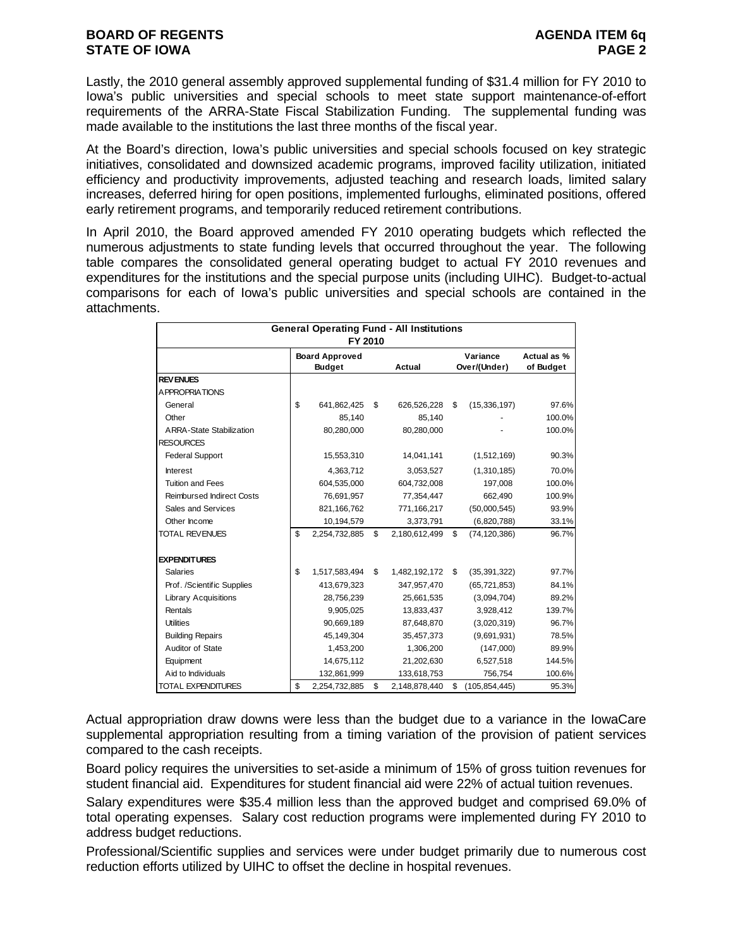Lastly, the 2010 general assembly approved supplemental funding of \$31.4 million for FY 2010 to Iowa's public universities and special schools to meet state support maintenance-of-effort requirements of the ARRA-State Fiscal Stabilization Funding. The supplemental funding was made available to the institutions the last three months of the fiscal year.

At the Board's direction, Iowa's public universities and special schools focused on key strategic initiatives, consolidated and downsized academic programs, improved facility utilization, initiated efficiency and productivity improvements, adjusted teaching and research loads, limited salary increases, deferred hiring for open positions, implemented furloughs, eliminated positions, offered early retirement programs, and temporarily reduced retirement contributions.

In April 2010, the Board approved amended FY 2010 operating budgets which reflected the numerous adjustments to state funding levels that occurred throughout the year. The following table compares the consolidated general operating budget to actual FY 2010 revenues and expenditures for the institutions and the special purpose units (including UIHC). Budget-to-actual comparisons for each of Iowa's public universities and special schools are contained in the attachments.

|                                  | <b>General Operating Fund - All Institutions</b><br>FY 2010 |                       |    |               |    |                 |             |  |  |  |  |  |
|----------------------------------|-------------------------------------------------------------|-----------------------|----|---------------|----|-----------------|-------------|--|--|--|--|--|
|                                  |                                                             | <b>Board Approved</b> |    |               |    | Variance        | Actual as % |  |  |  |  |  |
|                                  |                                                             | <b>Budget</b>         |    | Actual        |    | Over/(Under)    | of Budget   |  |  |  |  |  |
| <b>REVENUES</b>                  |                                                             |                       |    |               |    |                 |             |  |  |  |  |  |
| A PPROPRIATIONS                  |                                                             |                       |    |               |    |                 |             |  |  |  |  |  |
| General                          | \$                                                          | 641,862,425           | \$ | 626,526,228   | \$ | (15, 336, 197)  | 97.6%       |  |  |  |  |  |
| Other                            |                                                             | 85.140                |    | 85.140        |    |                 | 100.0%      |  |  |  |  |  |
| <b>ARRA-State Stabilization</b>  |                                                             | 80,280,000            |    | 80,280,000    |    |                 | 100.0%      |  |  |  |  |  |
| <b>RESOURCES</b>                 |                                                             |                       |    |               |    |                 |             |  |  |  |  |  |
| <b>Federal Support</b>           |                                                             | 15,553,310            |    | 14,041,141    |    | (1,512,169)     | 90.3%       |  |  |  |  |  |
| Interest                         |                                                             | 4,363,712             |    | 3,053,527     |    | (1,310,185)     | 70.0%       |  |  |  |  |  |
| <b>Tuition and Fees</b>          |                                                             | 604,535,000           |    | 604,732,008   |    | 197,008         | 100.0%      |  |  |  |  |  |
| <b>Reimbursed Indirect Costs</b> |                                                             | 76,691,957            |    | 77,354,447    |    | 662.490         | 100.9%      |  |  |  |  |  |
| Sales and Services               |                                                             | 821,166,762           |    | 771,166,217   |    | (50,000,545)    | 93.9%       |  |  |  |  |  |
| Other Income                     |                                                             | 10,194,579            |    | 3,373,791     |    | (6,820,788)     | 33.1%       |  |  |  |  |  |
| <b>TOTAL REVENUES</b>            | \$                                                          | 2,254,732,885         | \$ | 2,180,612,499 | \$ | (74, 120, 386)  | 96.7%       |  |  |  |  |  |
| <b>EXPENDITURES</b>              |                                                             |                       |    |               |    |                 |             |  |  |  |  |  |
| <b>Salaries</b>                  | \$                                                          | 1,517,583,494         | \$ | 1,482,192,172 | \$ | (35, 391, 322)  | 97.7%       |  |  |  |  |  |
| Prof. /Scientific Supplies       |                                                             | 413,679,323           |    | 347,957,470   |    | (65, 721, 853)  | 84.1%       |  |  |  |  |  |
| <b>Library Acquisitions</b>      |                                                             | 28,756,239            |    | 25,661,535    |    | (3,094,704)     | 89.2%       |  |  |  |  |  |
| Rentals                          |                                                             | 9,905,025             |    | 13,833,437    |    | 3,928,412       | 139.7%      |  |  |  |  |  |
| <b>Utilities</b>                 |                                                             | 90,669,189            |    | 87,648,870    |    | (3,020,319)     | 96.7%       |  |  |  |  |  |
| <b>Building Repairs</b>          |                                                             | 45,149,304            |    | 35,457,373    |    | (9,691,931)     | 78.5%       |  |  |  |  |  |
| Auditor of State                 |                                                             | 1,453,200             |    | 1,306,200     |    | (147,000)       | 89.9%       |  |  |  |  |  |
| Equipment                        |                                                             | 14,675,112            |    | 21,202,630    |    | 6,527,518       | 144.5%      |  |  |  |  |  |
| Aid to Individuals               |                                                             | 132,861,999           |    | 133,618,753   |    | 756,754         | 100.6%      |  |  |  |  |  |
| <b>TOTAL EXPENDITURES</b>        | \$                                                          | 2,254,732,885         | \$ | 2,148,878,440 | \$ | (105, 854, 445) | 95.3%       |  |  |  |  |  |

Actual appropriation draw downs were less than the budget due to a variance in the IowaCare supplemental appropriation resulting from a timing variation of the provision of patient services compared to the cash receipts.

Board policy requires the universities to set-aside a minimum of 15% of gross tuition revenues for student financial aid. Expenditures for student financial aid were 22% of actual tuition revenues.

Salary expenditures were \$35.4 million less than the approved budget and comprised 69.0% of total operating expenses. Salary cost reduction programs were implemented during FY 2010 to address budget reductions.

Professional/Scientific supplies and services were under budget primarily due to numerous cost reduction efforts utilized by UIHC to offset the decline in hospital revenues.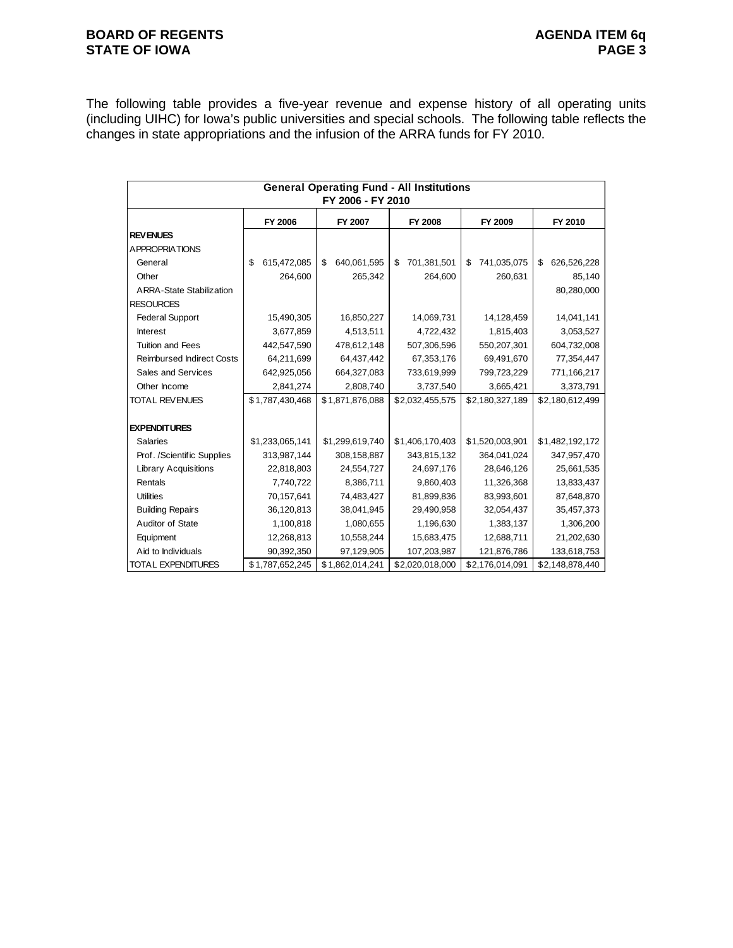#### **BOARD OF REGENTS**<br> **BOARD OF REGENTS**<br> **BOARD OF IOWA**<br>
PAGE 3 **STATE OF IOWA**

The following table provides a five-year revenue and expense history of all operating units (including UIHC) for Iowa's public universities and special schools. The following table reflects the changes in state appropriations and the infusion of the ARRA funds for FY 2010.

|                                  | <b>General Operating Fund - All Institutions</b><br>FY 2006 - FY 2010 |                   |                   |                   |                   |  |  |  |  |  |  |  |
|----------------------------------|-----------------------------------------------------------------------|-------------------|-------------------|-------------------|-------------------|--|--|--|--|--|--|--|
|                                  | FY 2006                                                               | FY 2007           | FY 2008           | FY 2009           | FY 2010           |  |  |  |  |  |  |  |
| <b>REV ENUES</b>                 |                                                                       |                   |                   |                   |                   |  |  |  |  |  |  |  |
| <b>APPROPRIATIONS</b>            |                                                                       |                   |                   |                   |                   |  |  |  |  |  |  |  |
| General                          | 615,472,085<br>\$                                                     | 640,061,595<br>\$ | 701,381,501<br>\$ | 741,035,075<br>\$ | 626,526,228<br>\$ |  |  |  |  |  |  |  |
| Other                            | 264,600                                                               | 265,342           | 264,600           | 260,631           | 85,140            |  |  |  |  |  |  |  |
| <b>ARRA-State Stabilization</b>  |                                                                       |                   |                   |                   | 80,280,000        |  |  |  |  |  |  |  |
| <b>RESOURCES</b>                 |                                                                       |                   |                   |                   |                   |  |  |  |  |  |  |  |
| <b>Federal Support</b>           | 15,490,305                                                            | 16,850,227        | 14,069,731        | 14,128,459        | 14,041,141        |  |  |  |  |  |  |  |
| <b>Interest</b>                  | 3,677,859                                                             | 4,513,511         | 4,722,432         | 1,815,403         | 3,053,527         |  |  |  |  |  |  |  |
| <b>Tuition and Fees</b>          | 442,547,590                                                           | 478,612,148       | 507,306,596       | 550,207,301       | 604,732,008       |  |  |  |  |  |  |  |
| <b>Reimbursed Indirect Costs</b> | 64,211,699                                                            | 64,437,442        | 67,353,176        | 69,491,670        | 77,354,447        |  |  |  |  |  |  |  |
| Sales and Services               | 642,925,056                                                           | 664,327,083       | 733,619,999       | 799,723,229       | 771,166,217       |  |  |  |  |  |  |  |
| Other Income                     | 2,841,274                                                             | 2,808,740         | 3,737,540         | 3,665,421         | 3,373,791         |  |  |  |  |  |  |  |
| <b>TOTAL REVENUES</b>            | \$1,787,430,468                                                       | \$1,871,876,088   | \$2,032,455,575   | \$2,180,327,189   | \$2,180,612,499   |  |  |  |  |  |  |  |
|                                  |                                                                       |                   |                   |                   |                   |  |  |  |  |  |  |  |
| <b>EXPENDITURES</b>              |                                                                       |                   |                   |                   |                   |  |  |  |  |  |  |  |
| <b>Salaries</b>                  | \$1,233,065,141                                                       | \$1,299,619,740   | \$1,406,170,403   | \$1,520,003,901   | \$1,482,192,172   |  |  |  |  |  |  |  |
| Prof. /Scientific Supplies       | 313,987,144                                                           | 308,158,887       | 343,815,132       | 364,041,024       | 347,957,470       |  |  |  |  |  |  |  |
| <b>Library Acquisitions</b>      | 22,818,803                                                            | 24,554,727        | 24,697,176        | 28,646,126        | 25,661,535        |  |  |  |  |  |  |  |
| Rentals                          | 7,740,722                                                             | 8,386,711         | 9,860,403         | 11,326,368        | 13,833,437        |  |  |  |  |  |  |  |
| <b>Utilities</b>                 | 70,157,641                                                            | 74,483,427        | 81,899,836        | 83,993,601        | 87,648,870        |  |  |  |  |  |  |  |
| <b>Building Repairs</b>          | 36,120,813                                                            | 38,041,945        | 29,490,958        | 32,054,437        | 35,457,373        |  |  |  |  |  |  |  |
| Auditor of State                 | 1,100,818                                                             | 1,080,655         | 1,196,630         | 1,383,137         | 1,306,200         |  |  |  |  |  |  |  |
| Equipment                        | 12,268,813                                                            | 10,558,244        | 15,683,475        | 12,688,711        | 21,202,630        |  |  |  |  |  |  |  |
| Aid to Individuals               | 90,392,350                                                            | 97,129,905        | 107,203,987       | 121,876,786       | 133,618,753       |  |  |  |  |  |  |  |
| TOTAL EXPENDITURES               | \$1,787,652,245                                                       | \$1,862,014,241   | \$2,020,018,000   | \$2,176,014,091   | \$2,148,878,440   |  |  |  |  |  |  |  |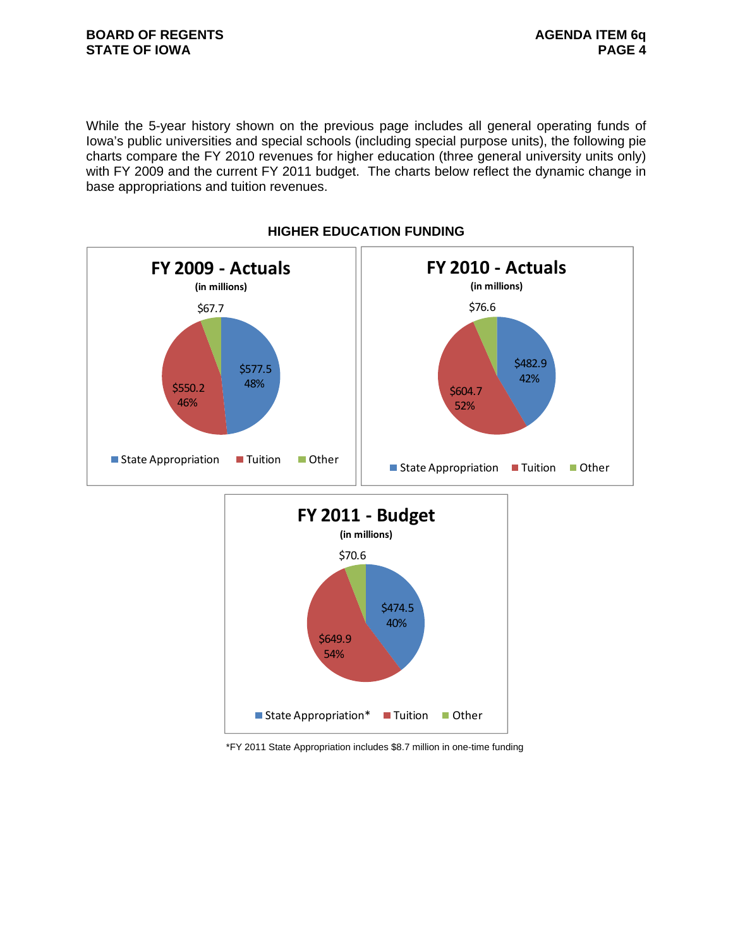#### **BOARD OF REGENTS BOARD OF REGENTS STATE OF IOWA** PAGE 4

While the 5-year history shown on the previous page includes all general operating funds of Iowa's public universities and special schools (including special purpose units), the following pie charts compare the FY 2010 revenues for higher education (three general university units only) with FY 2009 and the current FY 2011 budget. The charts below reflect the dynamic change in base appropriations and tuition revenues.



**HIGHER EDUCATION FUNDING** 

\*FY 2011 State Appropriation includes \$8.7 million in one-time funding

 $\blacksquare$  State Appropriation  $\blacksquare$  Tuition  $\blacksquare$  Other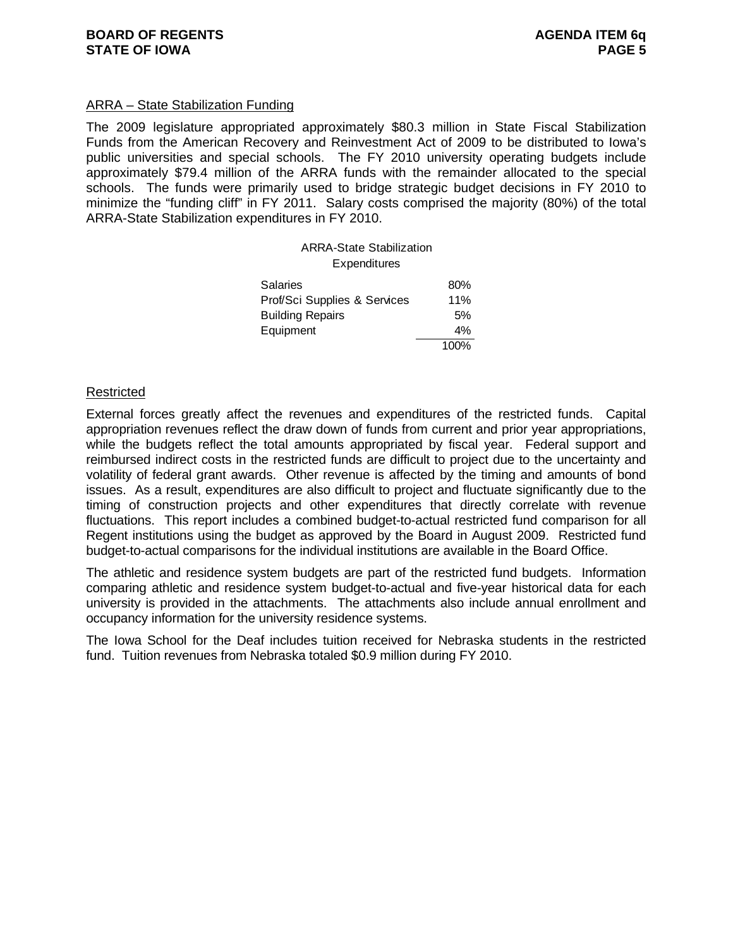#### ARRA – State Stabilization Funding

The 2009 legislature appropriated approximately \$80.3 million in State Fiscal Stabilization Funds from the American Recovery and Reinvestment Act of 2009 to be distributed to Iowa's public universities and special schools. The FY 2010 university operating budgets include approximately \$79.4 million of the ARRA funds with the remainder allocated to the special schools. The funds were primarily used to bridge strategic budget decisions in FY 2010 to minimize the "funding cliff" in FY 2011. Salary costs comprised the majority (80%) of the total ARRA-State Stabilization expenditures in FY 2010.

| <b>ARRA-State Stabilization</b><br><b>Expenditures</b> |      |
|--------------------------------------------------------|------|
| Salaries                                               | 80%  |
| Prof/Sci Supplies & Services                           | 11%  |
| <b>Building Repairs</b>                                | 5%   |
| Equipment                                              | 4%   |
|                                                        | 100% |

#### Restricted

External forces greatly affect the revenues and expenditures of the restricted funds. Capital appropriation revenues reflect the draw down of funds from current and prior year appropriations, while the budgets reflect the total amounts appropriated by fiscal year. Federal support and reimbursed indirect costs in the restricted funds are difficult to project due to the uncertainty and volatility of federal grant awards. Other revenue is affected by the timing and amounts of bond issues. As a result, expenditures are also difficult to project and fluctuate significantly due to the timing of construction projects and other expenditures that directly correlate with revenue fluctuations. This report includes a combined budget-to-actual restricted fund comparison for all Regent institutions using the budget as approved by the Board in August 2009. Restricted fund budget-to-actual comparisons for the individual institutions are available in the Board Office.

The athletic and residence system budgets are part of the restricted fund budgets. Information comparing athletic and residence system budget-to-actual and five-year historical data for each university is provided in the attachments. The attachments also include annual enrollment and occupancy information for the university residence systems.

The Iowa School for the Deaf includes tuition received for Nebraska students in the restricted fund. Tuition revenues from Nebraska totaled \$0.9 million during FY 2010.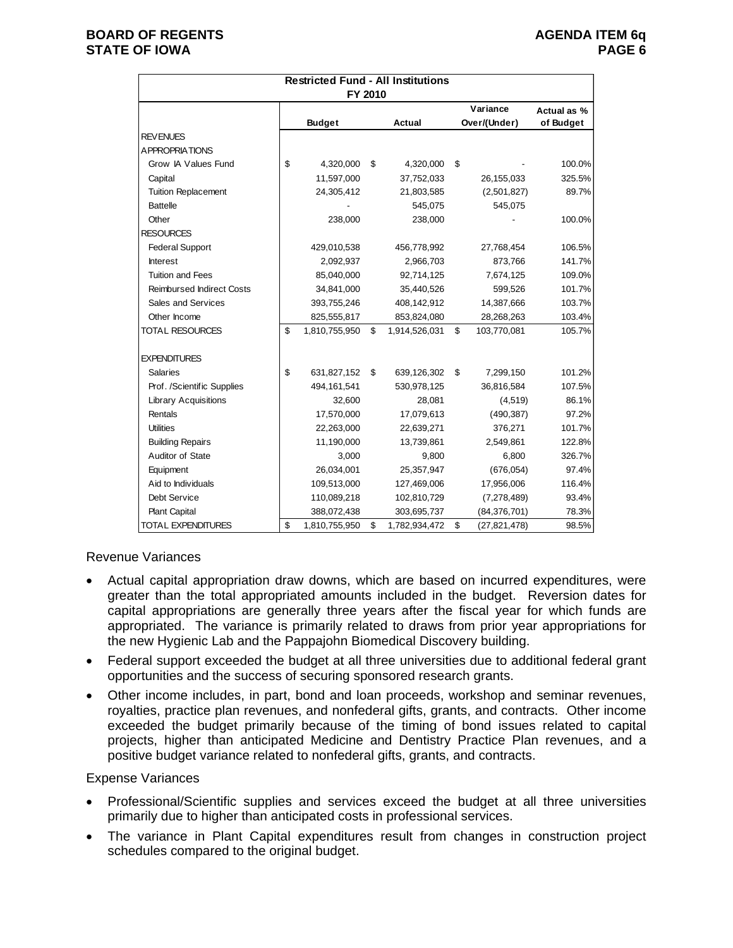#### **BOARD OF REGENTS AGENUS AGENDA ITEM 6q STATE OF IOWA** PAGE 6 **PAGE 6**

|                                  | <b>Restricted Fund - All Institutions</b> |                     |                      |             |
|----------------------------------|-------------------------------------------|---------------------|----------------------|-------------|
|                                  | FY 2010                                   |                     |                      |             |
|                                  |                                           |                     | Variance             | Actual as % |
|                                  | <b>Budget</b>                             | <b>Actual</b>       | Over/(Under)         | of Budget   |
| <b>REVENUES</b>                  |                                           |                     |                      |             |
| <b>APPROPRIATIONS</b>            |                                           |                     |                      |             |
| Grow IA Values Fund              | \$<br>4,320,000                           | \$<br>4,320,000     | \$                   | 100.0%      |
| Capital                          | 11,597,000                                | 37,752,033          | 26,155,033           | 325.5%      |
| <b>Tuition Replacement</b>       | 24,305,412                                | 21,803,585          | (2,501,827)          | 89.7%       |
| <b>Battelle</b>                  |                                           | 545,075             | 545,075              |             |
| Other                            | 238,000                                   | 238,000             |                      | 100.0%      |
| <b>RESOURCES</b>                 |                                           |                     |                      |             |
| <b>Federal Support</b>           | 429,010,538                               | 456,778,992         | 27,768,454           | 106.5%      |
| <b>Interest</b>                  | 2,092,937                                 | 2,966,703           | 873,766              | 141.7%      |
| <b>Tuition and Fees</b>          | 85,040,000                                | 92,714,125          | 7,674,125            | 109.0%      |
| <b>Reimbursed Indirect Costs</b> | 34,841,000                                | 35,440,526          | 599,526              | 101.7%      |
| Sales and Services               | 393,755,246                               | 408,142,912         | 14,387,666           | 103.7%      |
| Other Income                     | 825,555,817                               | 853,824,080         | 28,268,263           | 103.4%      |
| <b>TOTAL RESOURCES</b>           | \$<br>1,810,755,950                       | \$<br>1,914,526,031 | \$<br>103,770,081    | 105.7%      |
| <b>EXPENDITURES</b>              |                                           |                     |                      |             |
| <b>Salaries</b>                  | \$<br>631,827,152                         | \$<br>639,126,302   | \$<br>7,299,150      | 101.2%      |
| Prof. /Scientific Supplies       | 494,161,541                               | 530,978,125         | 36,816,584           | 107.5%      |
| <b>Library Acquisitions</b>      | 32,600                                    | 28,081              | (4,519)              | 86.1%       |
| Rentals                          | 17,570,000                                | 17,079,613          | (490, 387)           | 97.2%       |
| <b>Utilities</b>                 | 22,263,000                                | 22,639,271          | 376,271              | 101.7%      |
| <b>Building Repairs</b>          | 11,190,000                                | 13,739,861          | 2,549,861            | 122.8%      |
| Auditor of State                 | 3,000                                     | 9,800               | 6,800                | 326.7%      |
| Equipment                        | 26,034,001                                | 25,357,947          | (676, 054)           | 97.4%       |
| Aid to Individuals               | 109,513,000                               | 127,469,006         | 17,956,006           | 116.4%      |
| Debt Service                     | 110,089,218                               | 102,810,729         | (7, 278, 489)        | 93.4%       |
| Plant Capital                    | 388,072,438                               | 303,695,737         | (84, 376, 701)       | 78.3%       |
| <b>TOTAL EXPENDITURES</b>        | \$<br>1,810,755,950                       | \$<br>1,782,934,472 | \$<br>(27, 821, 478) | 98.5%       |

Revenue Variances

- Actual capital appropriation draw downs, which are based on incurred expenditures, were greater than the total appropriated amounts included in the budget. Reversion dates for capital appropriations are generally three years after the fiscal year for which funds are appropriated. The variance is primarily related to draws from prior year appropriations for the new Hygienic Lab and the Pappajohn Biomedical Discovery building.
- Federal support exceeded the budget at all three universities due to additional federal grant opportunities and the success of securing sponsored research grants.
- Other income includes, in part, bond and loan proceeds, workshop and seminar revenues, royalties, practice plan revenues, and nonfederal gifts, grants, and contracts. Other income exceeded the budget primarily because of the timing of bond issues related to capital projects, higher than anticipated Medicine and Dentistry Practice Plan revenues, and a positive budget variance related to nonfederal gifts, grants, and contracts.

#### Expense Variances

- Professional/Scientific supplies and services exceed the budget at all three universities primarily due to higher than anticipated costs in professional services.
- The variance in Plant Capital expenditures result from changes in construction project schedules compared to the original budget.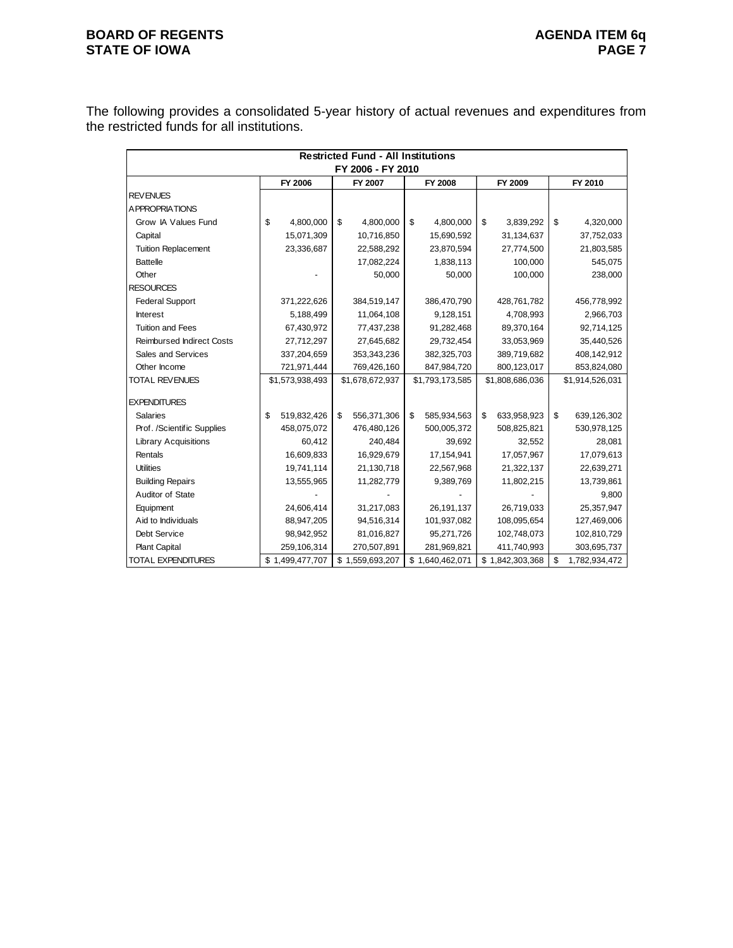#### **BOARD OF REGENTS**<br>STATE OF IOWA **AGENDA ITEM 6q STATE OF IOWA**

The following provides a consolidated 5-year history of actual revenues and expenditures from the restricted funds for all institutions.

|                                  | <b>Restricted Fund - All Institutions</b> |                 |    |                   |    |                 |    |                 |    |                 |  |  |
|----------------------------------|-------------------------------------------|-----------------|----|-------------------|----|-----------------|----|-----------------|----|-----------------|--|--|
|                                  |                                           |                 |    | FY 2006 - FY 2010 |    |                 |    |                 |    |                 |  |  |
|                                  |                                           | FY 2006         |    | FY 2007           |    | FY 2008         |    | FY 2009         |    | FY 2010         |  |  |
| <b>REVENUES</b>                  |                                           |                 |    |                   |    |                 |    |                 |    |                 |  |  |
| <b>APPROPRIATIONS</b>            |                                           |                 |    |                   |    |                 |    |                 |    |                 |  |  |
| Grow IA Values Fund              | \$                                        | 4,800,000       | \$ | 4,800,000         | \$ | 4,800,000       | \$ | 3,839,292       | \$ | 4,320,000       |  |  |
| Capital                          |                                           | 15,071,309      |    | 10,716,850        |    | 15,690,592      |    | 31,134,637      |    | 37,752,033      |  |  |
| <b>Tuition Replacement</b>       |                                           | 23,336,687      |    | 22,588,292        |    | 23,870,594      |    | 27,774,500      |    | 21,803,585      |  |  |
| <b>Battelle</b>                  |                                           |                 |    | 17,082,224        |    | 1,838,113       |    | 100,000         |    | 545,075         |  |  |
| Other                            |                                           |                 |    | 50,000            |    | 50,000          |    | 100,000         |    | 238,000         |  |  |
| <b>RESOURCES</b>                 |                                           |                 |    |                   |    |                 |    |                 |    |                 |  |  |
| <b>Federal Support</b>           |                                           | 371,222,626     |    | 384,519,147       |    | 386,470,790     |    | 428,761,782     |    | 456,778,992     |  |  |
| <b>Interest</b>                  |                                           | 5,188,499       |    | 11,064,108        |    | 9,128,151       |    | 4,708,993       |    | 2,966,703       |  |  |
| <b>Tuition and Fees</b>          |                                           | 67,430,972      |    | 77,437,238        |    | 91,282,468      |    | 89,370,164      |    | 92,714,125      |  |  |
| <b>Reimbursed Indirect Costs</b> |                                           | 27,712,297      |    | 27,645,682        |    | 29,732,454      |    | 33,053,969      |    | 35,440,526      |  |  |
| Sales and Services               |                                           | 337,204,659     |    | 353,343,236       |    | 382,325,703     |    | 389,719,682     |    | 408,142,912     |  |  |
| Other Income                     |                                           | 721,971,444     |    | 769,426,160       |    | 847,984,720     |    | 800,123,017     |    | 853,824,080     |  |  |
| <b>TOTAL REVENUES</b>            |                                           | \$1,573,938,493 |    | \$1,678,672,937   |    | \$1,793,173,585 |    | \$1,808,686,036 |    | \$1,914,526,031 |  |  |
| <b>EXPENDITURES</b>              |                                           |                 |    |                   |    |                 |    |                 |    |                 |  |  |
| <b>Salaries</b>                  | \$                                        | 519,832,426     | \$ | 556,371,306       | \$ | 585,934,563     | \$ | 633,958,923     | \$ | 639,126,302     |  |  |
| Prof. /Scientific Supplies       |                                           | 458,075,072     |    | 476,480,126       |    | 500,005,372     |    | 508,825,821     |    | 530,978,125     |  |  |
| <b>Library Acquisitions</b>      |                                           | 60,412          |    | 240,484           |    | 39,692          |    | 32,552          |    | 28,081          |  |  |
| Rentals                          |                                           | 16,609,833      |    | 16,929,679        |    | 17,154,941      |    | 17,057,967      |    | 17,079,613      |  |  |
| <b>Utilities</b>                 |                                           | 19,741,114      |    | 21,130,718        |    | 22,567,968      |    | 21,322,137      |    | 22,639,271      |  |  |
| <b>Building Repairs</b>          |                                           | 13,555,965      |    | 11,282,779        |    | 9,389,769       |    | 11,802,215      |    | 13,739,861      |  |  |
| Auditor of State                 |                                           |                 |    |                   |    |                 |    |                 |    | 9,800           |  |  |
| Equipment                        |                                           | 24,606,414      |    | 31,217,083        |    | 26,191,137      |    | 26,719,033      |    | 25,357,947      |  |  |
| Aid to Individuals               |                                           | 88,947,205      |    | 94,516,314        |    | 101,937,082     |    | 108,095,654     |    | 127,469,006     |  |  |
| Debt Service                     |                                           | 98,942,952      |    | 81,016,827        |    | 95,271,726      |    | 102,748,073     |    | 102,810,729     |  |  |
| <b>Plant Capital</b>             |                                           | 259,106,314     |    | 270,507,891       |    | 281,969,821     |    | 411,740,993     |    | 303,695,737     |  |  |
| <b>TOTAL EXPENDITURES</b>        |                                           | \$1,499,477,707 |    | \$1,559,693,207   |    | \$1,640,462,071 |    | \$1,842,303,368 | \$ | 1,782,934,472   |  |  |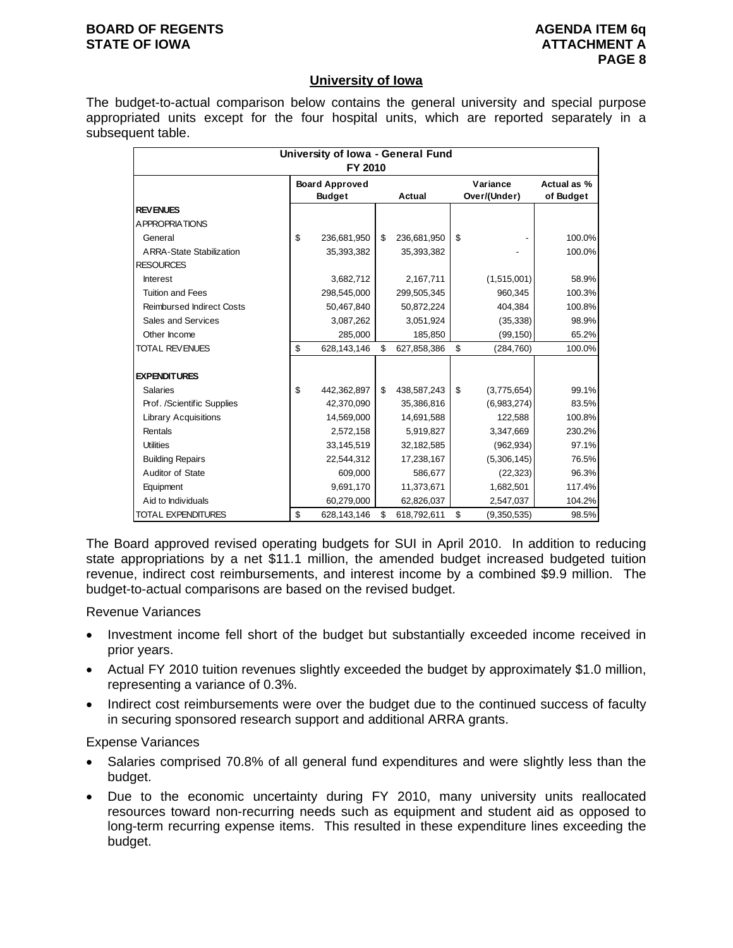#### **University of Iowa**

The budget-to-actual comparison below contains the general university and special purpose appropriated units except for the four hospital units, which are reported separately in a subsequent table.

|                                  | University of Iowa - General Fund |                   |                   |             |
|----------------------------------|-----------------------------------|-------------------|-------------------|-------------|
|                                  | FY 2010                           |                   |                   |             |
|                                  | <b>Board Approved</b>             |                   | Variance          | Actual as % |
|                                  | <b>Budget</b>                     | Actual            | Over/(Under)      | of Budget   |
| <b>REVENUES</b>                  |                                   |                   |                   |             |
| A PPROPRIATIONS                  |                                   |                   |                   |             |
| General                          | \$<br>236,681,950                 | \$<br>236,681,950 | \$                | 100.0%      |
| <b>ARRA-State Stabilization</b>  | 35,393,382                        | 35,393,382        |                   | 100.0%      |
| <b>RESOURCES</b>                 |                                   |                   |                   |             |
| <b>Interest</b>                  | 3,682,712                         | 2,167,711         | (1,515,001)       | 58.9%       |
| <b>Tuition and Fees</b>          | 298,545,000                       | 299,505,345       | 960,345           | 100.3%      |
| <b>Reimbursed Indirect Costs</b> | 50,467,840                        | 50,872,224        | 404,384           | 100.8%      |
| Sales and Services               | 3,087,262                         | 3,051,924         | (35, 338)         | 98.9%       |
| Other Income                     | 285,000                           | 185,850           | (99, 150)         | 65.2%       |
| <b>TOTAL REVENUES</b>            | \$<br>628,143,146                 | \$<br>627,858,386 | \$<br>(284, 760)  | 100.0%      |
|                                  |                                   |                   |                   |             |
| <b>EXPENDITURES</b>              |                                   |                   |                   |             |
| Salaries                         | \$<br>442,362,897                 | \$<br>438,587,243 | \$<br>(3,775,654) | 99.1%       |
| Prof. /Scientific Supplies       | 42,370,090                        | 35,386,816        | (6,983,274)       | 83.5%       |
| <b>Library Acquisitions</b>      | 14,569,000                        | 14,691,588        | 122,588           | 100.8%      |
| Rentals                          | 2,572,158                         | 5,919,827         | 3,347,669         | 230.2%      |
| <b>Utilities</b>                 | 33,145,519                        | 32,182,585        | (962, 934)        | 97.1%       |
| <b>Building Repairs</b>          | 22,544,312                        | 17,238,167        | (5,306,145)       | 76.5%       |
| Auditor of State                 | 609.000                           | 586,677           | (22, 323)         | 96.3%       |
| Equipment                        | 9,691,170                         | 11,373,671        | 1,682,501         | 117.4%      |
| Aid to Individuals               | 60,279,000                        | 62,826,037        | 2,547,037         | 104.2%      |
| <b>TOTAL EXPENDITURES</b>        | \$<br>628,143,146                 | \$<br>618,792,611 | \$<br>(9,350,535) | 98.5%       |

The Board approved revised operating budgets for SUI in April 2010. In addition to reducing state appropriations by a net \$11.1 million, the amended budget increased budgeted tuition revenue, indirect cost reimbursements, and interest income by a combined \$9.9 million. The budget-to-actual comparisons are based on the revised budget.

Revenue Variances

- Investment income fell short of the budget but substantially exceeded income received in prior years.
- Actual FY 2010 tuition revenues slightly exceeded the budget by approximately \$1.0 million, representing a variance of 0.3%.
- Indirect cost reimbursements were over the budget due to the continued success of faculty in securing sponsored research support and additional ARRA grants.

Expense Variances

- Salaries comprised 70.8% of all general fund expenditures and were slightly less than the budget.
- Due to the economic uncertainty during FY 2010, many university units reallocated resources toward non-recurring needs such as equipment and student aid as opposed to long-term recurring expense items. This resulted in these expenditure lines exceeding the budget.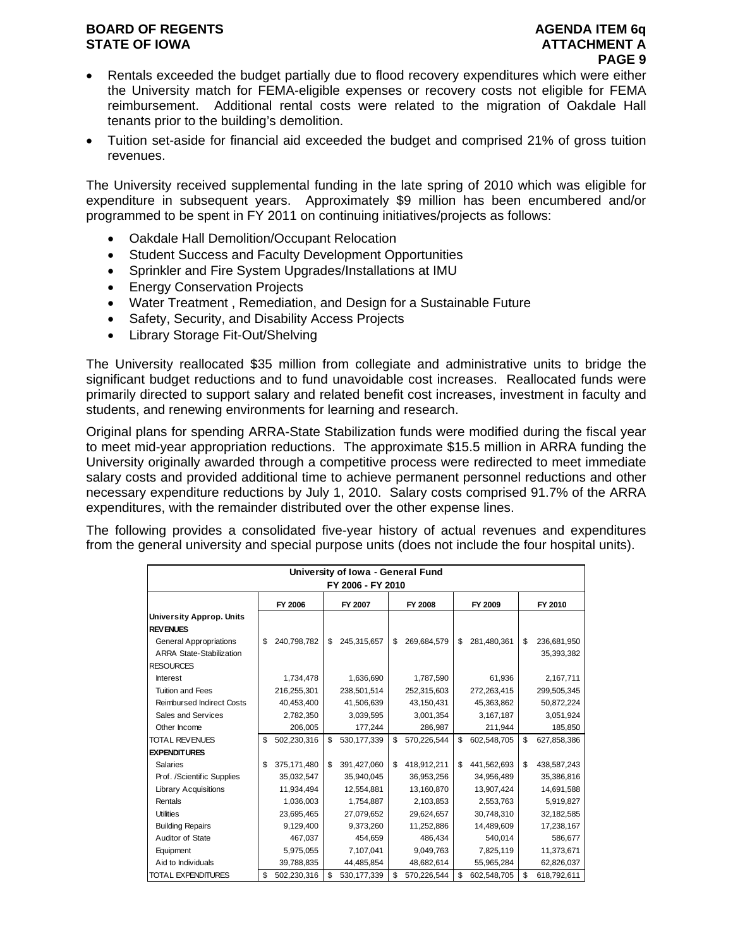- Rentals exceeded the budget partially due to flood recovery expenditures which were either the University match for FEMA-eligible expenses or recovery costs not eligible for FEMA reimbursement. Additional rental costs were related to the migration of Oakdale Hall tenants prior to the building's demolition.
- Tuition set-aside for financial aid exceeded the budget and comprised 21% of gross tuition revenues.

The University received supplemental funding in the late spring of 2010 which was eligible for expenditure in subsequent years. Approximately \$9 million has been encumbered and/or programmed to be spent in FY 2011 on continuing initiatives/projects as follows:

- Oakdale Hall Demolition/Occupant Relocation
- Student Success and Faculty Development Opportunities
- Sprinkler and Fire System Upgrades/Installations at IMU
- **Energy Conservation Projects**
- Water Treatment , Remediation, and Design for a Sustainable Future
- Safety, Security, and Disability Access Projects
- Library Storage Fit-Out/Shelving

The University reallocated \$35 million from collegiate and administrative units to bridge the significant budget reductions and to fund unavoidable cost increases. Reallocated funds were primarily directed to support salary and related benefit cost increases, investment in faculty and students, and renewing environments for learning and research.

Original plans for spending ARRA-State Stabilization funds were modified during the fiscal year to meet mid-year appropriation reductions. The approximate \$15.5 million in ARRA funding the University originally awarded through a competitive process were redirected to meet immediate salary costs and provided additional time to achieve permanent personnel reductions and other necessary expenditure reductions by July 1, 2010. Salary costs comprised 91.7% of the ARRA expenditures, with the remainder distributed over the other expense lines.

The following provides a consolidated five-year history of actual revenues and expenditures from the general university and special purpose units (does not include the four hospital units).

|                                                                  | University of Iowa - General Fund |             |    |                   |    |             |    |             |    |                           |  |  |
|------------------------------------------------------------------|-----------------------------------|-------------|----|-------------------|----|-------------|----|-------------|----|---------------------------|--|--|
|                                                                  |                                   |             |    | FY 2006 - FY 2010 |    |             |    |             |    |                           |  |  |
|                                                                  |                                   | FY 2006     |    | FY 2007           |    | FY 2008     |    | FY 2009     |    | FY 2010                   |  |  |
| <b>University Approp. Units</b><br><b>REVENUES</b>               |                                   |             |    |                   |    |             |    |             |    |                           |  |  |
| <b>General Appropriations</b><br><b>ARRA State-Stabilization</b> | \$                                | 240,798,782 | \$ | 245,315,657       | \$ | 269,684,579 | \$ | 281,480,361 | \$ | 236,681,950<br>35,393,382 |  |  |
| <b>RESOURCES</b>                                                 |                                   |             |    |                   |    |             |    |             |    |                           |  |  |
| Interest                                                         |                                   | 1,734,478   |    | 1,636,690         |    | 1,787,590   |    | 61,936      |    | 2,167,711                 |  |  |
| <b>Tuition and Fees</b>                                          |                                   | 216,255,301 |    | 238,501,514       |    | 252,315,603 |    | 272,263,415 |    | 299,505,345               |  |  |
| <b>Reimbursed Indirect Costs</b>                                 |                                   | 40,453,400  |    | 41,506,639        |    | 43,150,431  |    | 45,363,862  |    | 50,872,224                |  |  |
| Sales and Services                                               |                                   | 2,782,350   |    | 3,039,595         |    | 3,001,354   |    | 3,167,187   |    | 3,051,924                 |  |  |
| Other Income                                                     |                                   | 206,005     |    | 177,244           |    | 286,987     |    | 211,944     |    | 185,850                   |  |  |
| <b>TOTAL REVENUES</b>                                            | \$                                | 502,230,316 | \$ | 530, 177, 339     | \$ | 570,226,544 | \$ | 602,548,705 | \$ | 627,858,386               |  |  |
| <b>EXPENDITURES</b>                                              |                                   |             |    |                   |    |             |    |             |    |                           |  |  |
| <b>Salaries</b>                                                  | \$                                | 375,171,480 | \$ | 391,427,060       | \$ | 418,912,211 | \$ | 441,562,693 | \$ | 438,587,243               |  |  |
| Prof. /Scientific Supplies                                       |                                   | 35,032,547  |    | 35,940,045        |    | 36,953,256  |    | 34,956,489  |    | 35,386,816                |  |  |
| <b>Library Acquisitions</b>                                      |                                   | 11,934,494  |    | 12,554,881        |    | 13,160,870  |    | 13,907,424  |    | 14,691,588                |  |  |
| Rentals                                                          |                                   | 1,036,003   |    | 1,754,887         |    | 2,103,853   |    | 2,553,763   |    | 5,919,827                 |  |  |
| <b>Utilities</b>                                                 |                                   | 23,695,465  |    | 27,079,652        |    | 29,624,657  |    | 30,748,310  |    | 32,182,585                |  |  |
| <b>Building Repairs</b>                                          |                                   | 9,129,400   |    | 9,373,260         |    | 11,252,886  |    | 14,489,609  |    | 17,238,167                |  |  |
| Auditor of State                                                 |                                   | 467,037     |    | 454,659           |    | 486.434     |    | 540.014     |    | 586,677                   |  |  |
| Equipment                                                        |                                   | 5,975,055   |    | 7,107,041         |    | 9,049,763   |    | 7,825,119   |    | 11,373,671                |  |  |
| Aid to Individuals                                               |                                   | 39,788,835  |    | 44,485,854        |    | 48,682,614  |    | 55,965,284  |    | 62,826,037                |  |  |
| <b>TOTAL EXPENDITURES</b>                                        | \$                                | 502,230,316 | \$ | 530, 177, 339     | \$ | 570,226,544 | \$ | 602,548,705 | \$ | 618,792,611               |  |  |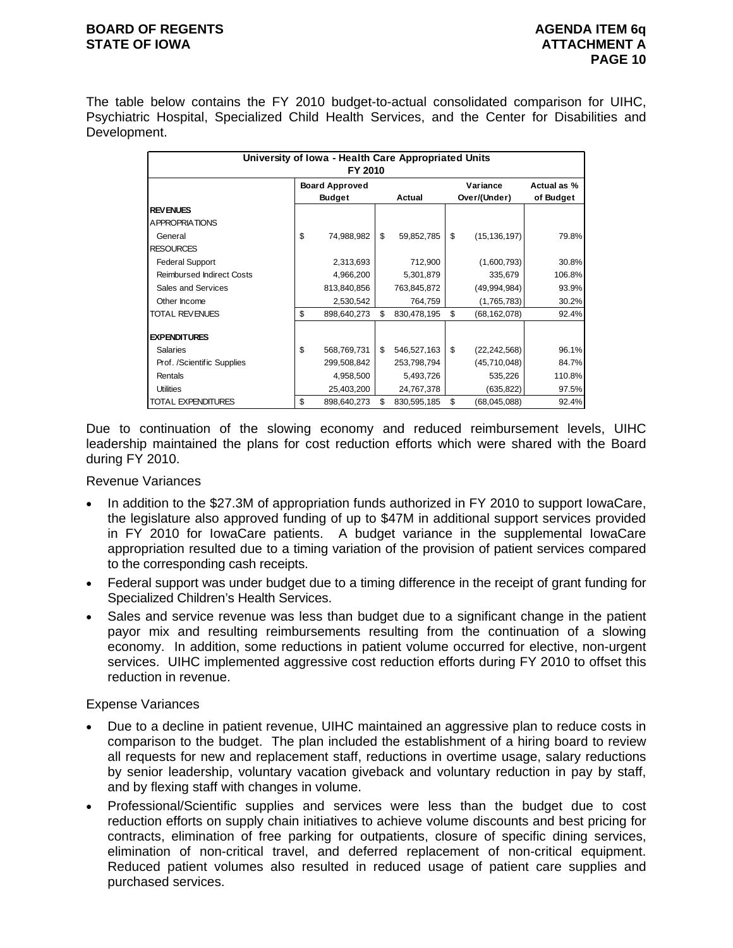The table below contains the FY 2010 budget-to-actual consolidated comparison for UIHC, Psychiatric Hospital, Specialized Child Health Services, and the Center for Disabilities and Development.

| University of Iowa - Health Care Appropriated Units<br>FY 2010 |    |                                        |    |             |    |                          |                          |  |  |  |  |
|----------------------------------------------------------------|----|----------------------------------------|----|-------------|----|--------------------------|--------------------------|--|--|--|--|
|                                                                |    | <b>Board Approved</b><br><b>Budget</b> |    | Actual      |    | Variance<br>Over/(Under) | Actual as %<br>of Budget |  |  |  |  |
| <b>REVENUES</b>                                                |    |                                        |    |             |    |                          |                          |  |  |  |  |
| <b>APPROPRIATIONS</b>                                          |    |                                        |    |             |    |                          |                          |  |  |  |  |
| General                                                        | \$ | 74,988,982                             | \$ | 59,852,785  | \$ | (15, 136, 197)           | 79.8%                    |  |  |  |  |
| <b>RESOURCES</b>                                               |    |                                        |    |             |    |                          |                          |  |  |  |  |
| <b>Federal Support</b>                                         |    | 2,313,693                              |    | 712,900     |    | (1,600,793)              | 30.8%                    |  |  |  |  |
| <b>Reimbursed Indirect Costs</b>                               |    | 4,966,200                              |    | 5,301,879   |    | 335,679                  | 106.8%                   |  |  |  |  |
| Sales and Services                                             |    | 813,840,856                            |    | 763,845,872 |    | (49,994,984)             | 93.9%                    |  |  |  |  |
| Other Income                                                   |    | 2,530,542                              |    | 764,759     |    | (1,765,783)              | 30.2%                    |  |  |  |  |
| <b>TOTAL REVENUES</b>                                          | \$ | 898,640,273                            | \$ | 830,478,195 | \$ | (68,162,078)             | 92.4%                    |  |  |  |  |
| <b>EXPENDITURES</b>                                            |    |                                        |    |             |    |                          |                          |  |  |  |  |
| <b>Salaries</b>                                                | \$ | 568,769,731                            | \$ | 546,527,163 | \$ | (22, 242, 568)           | 96.1%                    |  |  |  |  |
| Prof. /Scientific Supplies                                     |    | 299,508,842                            |    | 253,798,794 |    | (45,710,048)             | 84.7%                    |  |  |  |  |
| Rentals                                                        |    | 4,958,500                              |    | 5,493,726   |    | 535,226                  | 110.8%                   |  |  |  |  |
| <b>Utilities</b>                                               |    | 25,403,200                             |    | 24,767,378  |    | (635, 822)               | 97.5%                    |  |  |  |  |
| <b>TOTAL EXPENDITURES</b>                                      | \$ | 898,640,273                            | \$ | 830,595,185 | \$ | (68, 045, 088)           | 92.4%                    |  |  |  |  |

Due to continuation of the slowing economy and reduced reimbursement levels, UIHC leadership maintained the plans for cost reduction efforts which were shared with the Board during FY 2010.

Revenue Variances

- In addition to the \$27.3M of appropriation funds authorized in FY 2010 to support IowaCare, the legislature also approved funding of up to \$47M in additional support services provided in FY 2010 for IowaCare patients. A budget variance in the supplemental IowaCare appropriation resulted due to a timing variation of the provision of patient services compared to the corresponding cash receipts.
- Federal support was under budget due to a timing difference in the receipt of grant funding for Specialized Children's Health Services.
- Sales and service revenue was less than budget due to a significant change in the patient payor mix and resulting reimbursements resulting from the continuation of a slowing economy. In addition, some reductions in patient volume occurred for elective, non-urgent services. UIHC implemented aggressive cost reduction efforts during FY 2010 to offset this reduction in revenue.

#### Expense Variances

- Due to a decline in patient revenue, UIHC maintained an aggressive plan to reduce costs in comparison to the budget. The plan included the establishment of a hiring board to review all requests for new and replacement staff, reductions in overtime usage, salary reductions by senior leadership, voluntary vacation giveback and voluntary reduction in pay by staff, and by flexing staff with changes in volume.
- Professional/Scientific supplies and services were less than the budget due to cost reduction efforts on supply chain initiatives to achieve volume discounts and best pricing for contracts, elimination of free parking for outpatients, closure of specific dining services, elimination of non-critical travel, and deferred replacement of non-critical equipment. Reduced patient volumes also resulted in reduced usage of patient care supplies and purchased services.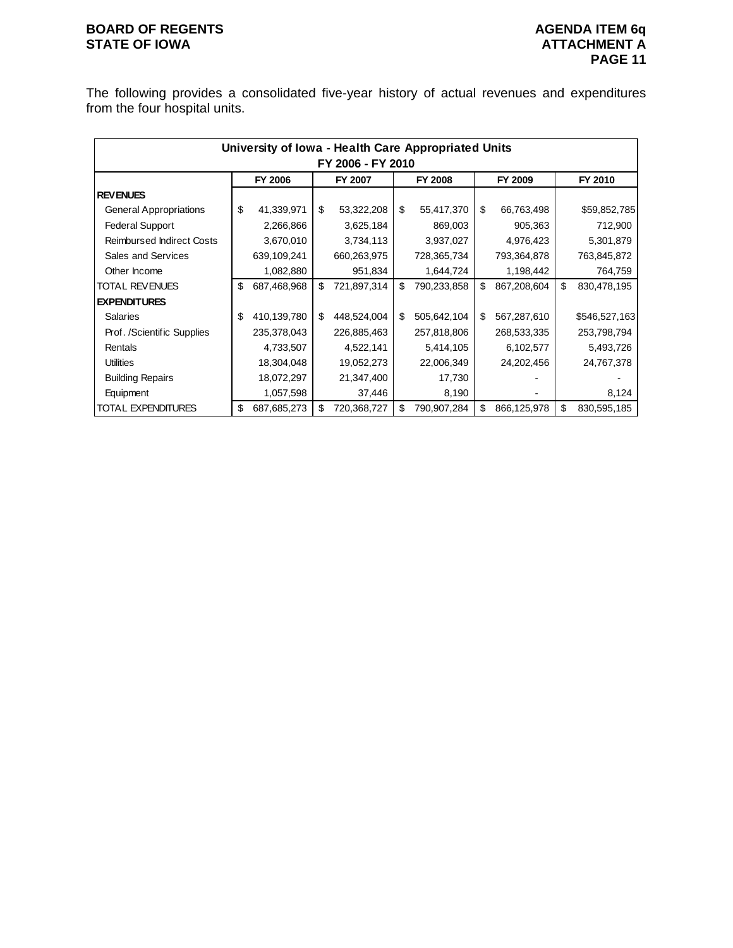## **BOARD OF REGENTS**<br> **BOARD OF REGENTS**<br> **BOARD OF IOWA**<br> **ATTACHMENT A**

The following provides a consolidated five-year history of actual revenues and expenditures from the four hospital units.

|                                  |                   | University of Iowa - Health Care Appropriated Units |    |             |    |                |    |             |    |               |  |  |  |
|----------------------------------|-------------------|-----------------------------------------------------|----|-------------|----|----------------|----|-------------|----|---------------|--|--|--|
|                                  | FY 2006 - FY 2010 |                                                     |    |             |    |                |    |             |    |               |  |  |  |
|                                  |                   | FY 2006                                             |    | FY 2007     |    | <b>FY 2008</b> |    | FY 2009     |    | FY 2010       |  |  |  |
| <b>REVENUES</b>                  |                   |                                                     |    |             |    |                |    |             |    |               |  |  |  |
| <b>General Appropriations</b>    | \$                | 41,339,971                                          | \$ | 53,322,208  | \$ | 55,417,370     | \$ | 66,763,498  |    | \$59,852,785  |  |  |  |
| <b>Federal Support</b>           |                   | 2,266,866                                           |    | 3,625,184   |    | 869,003        |    | 905,363     |    | 712,900       |  |  |  |
| <b>Reimbursed Indirect Costs</b> |                   | 3,670,010                                           |    | 3,734,113   |    | 3,937,027      |    | 4,976,423   |    | 5,301,879     |  |  |  |
| Sales and Services               |                   | 639,109,241                                         |    | 660,263,975 |    | 728,365,734    |    | 793,364,878 |    | 763,845,872   |  |  |  |
| Other Income                     |                   | 1,082,880                                           |    | 951,834     |    | 1,644,724      |    | 1,198,442   |    | 764,759       |  |  |  |
| <b>TOTAL REVENUES</b>            | \$                | 687,468,968                                         | \$ | 721,897,314 | \$ | 790,233,858    | \$ | 867,208,604 | \$ | 830,478,195   |  |  |  |
| <b>EXPENDITURES</b>              |                   |                                                     |    |             |    |                |    |             |    |               |  |  |  |
| <b>Salaries</b>                  | \$                | 410,139,780                                         | \$ | 448,524,004 | \$ | 505,642,104    | \$ | 567,287,610 |    | \$546,527,163 |  |  |  |
| Prof. /Scientific Supplies       |                   | 235,378,043                                         |    | 226,885,463 |    | 257,818,806    |    | 268,533,335 |    | 253,798,794   |  |  |  |
| Rentals                          |                   | 4,733,507                                           |    | 4,522,141   |    | 5,414,105      |    | 6,102,577   |    | 5,493,726     |  |  |  |
| <b>Utilities</b>                 |                   | 18,304,048                                          |    | 19,052,273  |    | 22,006,349     |    | 24,202,456  |    | 24,767,378    |  |  |  |
| <b>Building Repairs</b>          |                   | 18,072,297                                          |    | 21,347,400  |    | 17,730         |    |             |    |               |  |  |  |
| Equipment                        |                   | 1,057,598                                           |    | 37,446      |    | 8,190          |    |             |    | 8,124         |  |  |  |
| TOTAL EXPENDITURES               | \$                | 687,685,273                                         | \$ | 720,368,727 | \$ | 790,907,284    | \$ | 866,125,978 | \$ | 830,595,185   |  |  |  |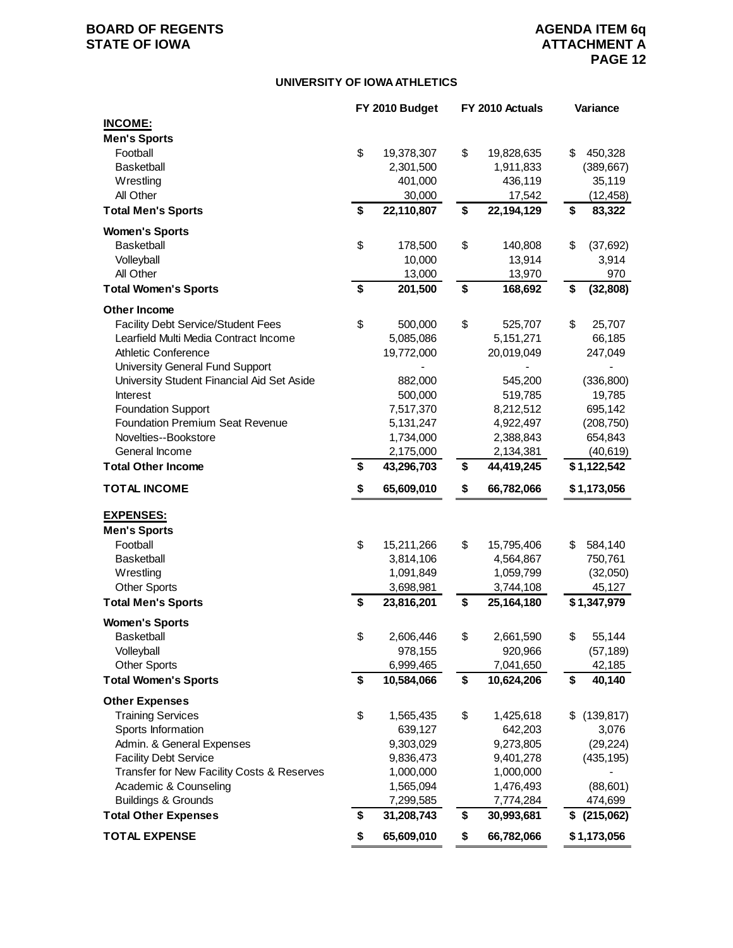#### **UNIVERSITY OF IOWA ATHLETICS**

|                                                               | FY 2010 Budget                | FY 2010 Actuals               | Variance                    |
|---------------------------------------------------------------|-------------------------------|-------------------------------|-----------------------------|
| <b>INCOME:</b>                                                |                               |                               |                             |
| <b>Men's Sports</b>                                           |                               |                               |                             |
| Football                                                      | \$<br>19,378,307              | \$<br>19,828,635              | \$<br>450,328               |
| <b>Basketball</b>                                             | 2,301,500                     | 1,911,833                     | (389, 667)                  |
| Wrestling                                                     | 401,000                       | 436,119                       | 35,119                      |
| All Other                                                     | 30,000                        | 17,542                        | (12, 458)                   |
| <b>Total Men's Sports</b>                                     | \$<br>22,110,807              | \$<br>22,194,129              | \$<br>83,322                |
| <b>Women's Sports</b>                                         |                               |                               |                             |
| <b>Basketball</b>                                             | \$<br>178,500                 | \$<br>140,808                 | \$<br>(37,692)              |
| Volleyball                                                    | 10,000                        | 13,914                        | 3,914                       |
| All Other                                                     | 13,000                        | 13,970                        | 970                         |
| <b>Total Women's Sports</b>                                   | \$<br>201,500                 | \$<br>168,692                 | \$<br>(32, 808)             |
| Other Income                                                  |                               |                               |                             |
| <b>Facility Debt Service/Student Fees</b>                     | \$<br>500,000                 | \$<br>525,707                 | \$<br>25,707                |
| Learfield Multi Media Contract Income                         | 5,085,086                     | 5, 151, 271                   | 66,185                      |
| <b>Athletic Conference</b>                                    | 19,772,000                    | 20,019,049                    | 247,049                     |
| <b>University General Fund Support</b>                        |                               |                               |                             |
| University Student Financial Aid Set Aside                    | 882,000                       | 545,200                       | (336, 800)                  |
| Interest                                                      | 500,000                       | 519,785                       | 19,785                      |
| <b>Foundation Support</b>                                     | 7,517,370                     | 8,212,512                     | 695,142                     |
| <b>Foundation Premium Seat Revenue</b>                        | 5,131,247                     | 4,922,497                     | (208, 750)                  |
| Novelties--Bookstore                                          | 1,734,000                     | 2,388,843                     | 654,843                     |
| General Income                                                | 2,175,000                     | 2,134,381                     | (40, 619)                   |
| <b>Total Other Income</b>                                     | \$<br>43,296,703              | \$<br>44,419,245              | \$1,122,542                 |
| <b>TOTAL INCOME</b>                                           | \$<br>65,609,010              | \$<br>66,782,066              | \$1,173,056                 |
| <b>EXPENSES:</b>                                              |                               |                               |                             |
| <b>Men's Sports</b>                                           |                               |                               |                             |
| Football                                                      | \$<br>15,211,266              | \$<br>15,795,406              | \$<br>584,140               |
| <b>Basketball</b>                                             | 3,814,106                     | 4,564,867                     | 750,761                     |
| Wrestling                                                     | 1,091,849                     | 1,059,799                     | (32,050)                    |
| <b>Other Sports</b>                                           |                               |                               |                             |
|                                                               |                               |                               |                             |
|                                                               | \$<br>3,698,981               | \$<br>3,744,108<br>25,164,180 | 45,127                      |
| <b>Total Men's Sports</b>                                     | 23,816,201                    |                               | \$1,347,979                 |
| <b>Women's Sports</b>                                         |                               |                               |                             |
| <b>Basketball</b>                                             | \$<br>2,606,446               | \$<br>2,661,590               | \$<br>55,144                |
| Volleyball                                                    | 978,155                       | 920,966                       | (57, 189)                   |
| <b>Other Sports</b><br><b>Total Women's Sports</b>            | \$<br>6,999,465<br>10,584,066 | \$<br>7,041,650<br>10,624,206 | \$<br>42,185<br>40,140      |
|                                                               |                               |                               |                             |
| <b>Other Expenses</b>                                         |                               |                               |                             |
| <b>Training Services</b>                                      | \$<br>1,565,435               | \$<br>1,425,618               | \$<br>(139, 817)            |
| Sports Information                                            | 639,127                       | 642,203                       | 3,076                       |
| Admin. & General Expenses                                     | 9,303,029                     | 9,273,805                     | (29, 224)                   |
| <b>Facility Debt Service</b>                                  | 9,836,473                     | 9,401,278                     | (435, 195)                  |
| Transfer for New Facility Costs & Reserves                    | 1,000,000                     | 1,000,000                     |                             |
| Academic & Counseling                                         | 1,565,094                     | 1,476,493                     | (88, 601)                   |
| <b>Buildings &amp; Grounds</b><br><b>Total Other Expenses</b> | \$<br>7,299,585<br>31,208,743 | \$<br>7,774,284<br>30,993,681 | 474,699<br>$$^{(215,062)}$$ |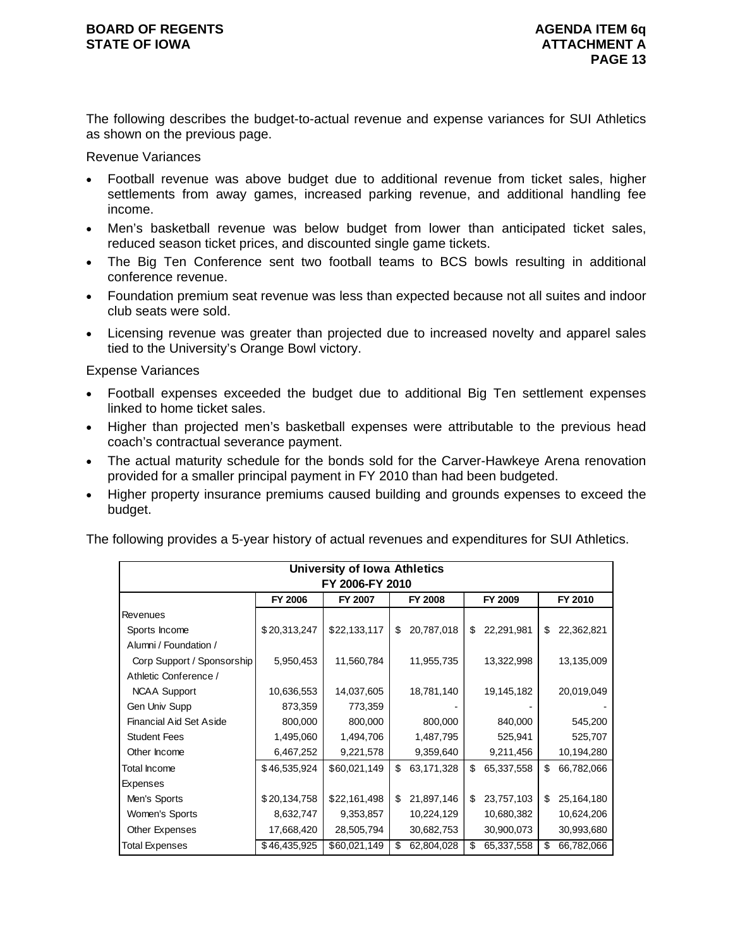The following describes the budget-to-actual revenue and expense variances for SUI Athletics as shown on the previous page.

Revenue Variances

- Football revenue was above budget due to additional revenue from ticket sales, higher settlements from away games, increased parking revenue, and additional handling fee income.
- Men's basketball revenue was below budget from lower than anticipated ticket sales, reduced season ticket prices, and discounted single game tickets.
- The Big Ten Conference sent two football teams to BCS bowls resulting in additional conference revenue.
- Foundation premium seat revenue was less than expected because not all suites and indoor club seats were sold.
- Licensing revenue was greater than projected due to increased novelty and apparel sales tied to the University's Orange Bowl victory.

#### Expense Variances

- Football expenses exceeded the budget due to additional Big Ten settlement expenses linked to home ticket sales.
- Higher than projected men's basketball expenses were attributable to the previous head coach's contractual severance payment.
- The actual maturity schedule for the bonds sold for the Carver-Hawkeye Arena renovation provided for a smaller principal payment in FY 2010 than had been budgeted.
- Higher property insurance premiums caused building and grounds expenses to exceed the budget.

The following provides a 5-year history of actual revenues and expenditures for SUI Athletics.

| University of Iowa Athletics   |                |                 |    |                |    |            |    |            |  |  |  |
|--------------------------------|----------------|-----------------|----|----------------|----|------------|----|------------|--|--|--|
|                                |                | FY 2006-FY 2010 |    |                |    |            |    |            |  |  |  |
|                                | <b>FY 2006</b> | FY 2007         |    | <b>FY 2008</b> |    | FY 2009    |    | FY 2010    |  |  |  |
| Revenues                       |                |                 |    |                |    |            |    |            |  |  |  |
| Sports Income                  | \$20,313,247   | \$22,133,117    | \$ | 20,787,018     | \$ | 22,291,981 | \$ | 22,362,821 |  |  |  |
| Alumni / Foundation /          |                |                 |    |                |    |            |    |            |  |  |  |
| Corp Support / Sponsorship     | 5,950,453      | 11,560,784      |    | 11,955,735     |    | 13,322,998 |    | 13,135,009 |  |  |  |
| Athletic Conference /          |                |                 |    |                |    |            |    |            |  |  |  |
| <b>NCAA Support</b>            | 10,636,553     | 14,037,605      |    | 18,781,140     |    | 19,145,182 |    | 20,019,049 |  |  |  |
| Gen Univ Supp                  | 873,359        | 773,359         |    |                |    |            |    |            |  |  |  |
| <b>Financial Aid Set Aside</b> | 800,000        | 800,000         |    | 800,000        |    | 840,000    |    | 545,200    |  |  |  |
| <b>Student Fees</b>            | 1,495,060      | 1,494,706       |    | 1,487,795      |    | 525,941    |    | 525,707    |  |  |  |
| Other Income                   | 6,467,252      | 9,221,578       |    | 9,359,640      |    | 9,211,456  |    | 10,194,280 |  |  |  |
| Total Income                   | \$46,535,924   | \$60,021,149    | \$ | 63,171,328     | \$ | 65,337,558 | \$ | 66,782,066 |  |  |  |
| Expenses                       |                |                 |    |                |    |            |    |            |  |  |  |
| Men's Sports                   | \$20,134,758   | \$22,161,498    | \$ | 21,897,146     | \$ | 23,757,103 | \$ | 25,164,180 |  |  |  |
| Women's Sports                 | 8,632,747      | 9,353,857       |    | 10,224,129     |    | 10,680,382 |    | 10,624,206 |  |  |  |
| Other Expenses                 | 17,668,420     | 28,505,794      |    | 30,682,753     |    | 30,900,073 |    | 30,993,680 |  |  |  |
| <b>Total Expenses</b>          | \$46,435,925   | \$60,021,149    | \$ | 62,804,028     | \$ | 65,337,558 | \$ | 66,782,066 |  |  |  |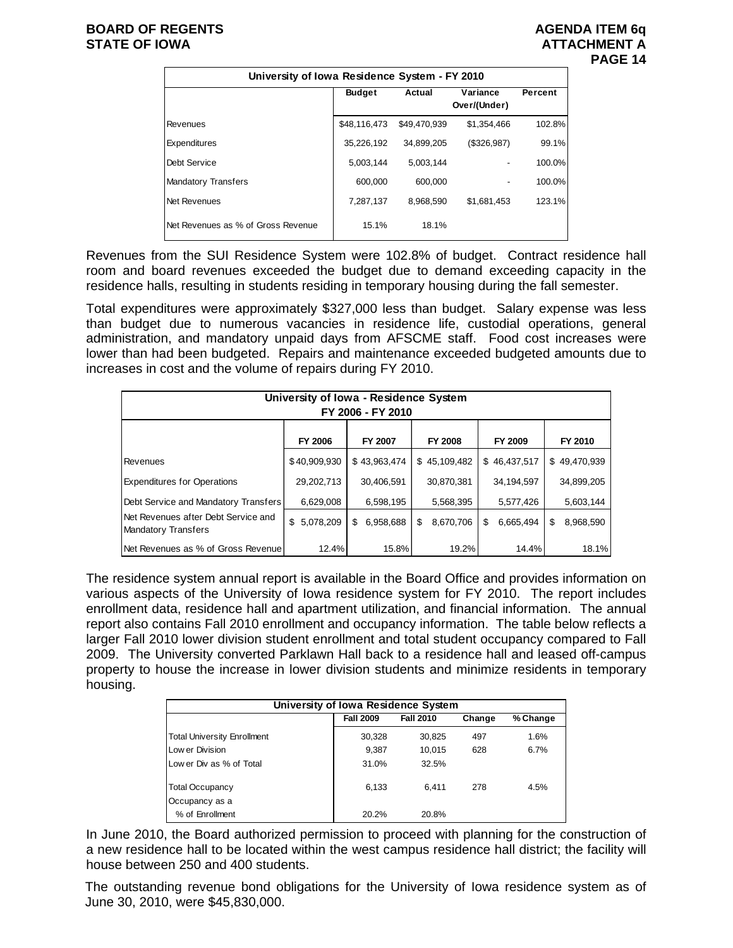# **PAGE 14**

| University of Iowa Residence System - FY 2010 |               |              |                          |         |  |  |  |  |  |  |
|-----------------------------------------------|---------------|--------------|--------------------------|---------|--|--|--|--|--|--|
|                                               | <b>Budget</b> | Actual       | Variance<br>Over/(Under) | Percent |  |  |  |  |  |  |
| Revenues                                      | \$48,116,473  | \$49,470,939 | \$1,354,466              | 102.8%  |  |  |  |  |  |  |
| Expenditures                                  | 35,226,192    | 34,899,205   | (\$326,987)              | 99.1%   |  |  |  |  |  |  |
| Debt Service                                  | 5,003,144     | 5.003.144    |                          | 100.0%  |  |  |  |  |  |  |
| <b>Mandatory Transfers</b>                    | 600.000       | 600.000      |                          | 100.0%  |  |  |  |  |  |  |
| Net Revenues                                  | 7,287,137     | 8.968.590    | \$1,681,453              | 123.1%  |  |  |  |  |  |  |
| Net Revenues as % of Gross Revenue            | 15.1%         | 18.1%        |                          |         |  |  |  |  |  |  |

Revenues from the SUI Residence System were 102.8% of budget. Contract residence hall room and board revenues exceeded the budget due to demand exceeding capacity in the residence halls, resulting in students residing in temporary housing during the fall semester.

Total expenditures were approximately \$327,000 less than budget. Salary expense was less than budget due to numerous vacancies in residence life, custodial operations, general administration, and mandatory unpaid days from AFSCME staff. Food cost increases were lower than had been budgeted. Repairs and maintenance exceeded budgeted amounts due to increases in cost and the volume of repairs during FY 2010.

| University of Iowa - Residence System<br>FY 2006 - FY 2010        |                 |                 |                 |                |                 |  |  |  |  |  |  |
|-------------------------------------------------------------------|-----------------|-----------------|-----------------|----------------|-----------------|--|--|--|--|--|--|
| <b>FY 2006</b><br><b>FY 2008</b><br>FY 2009<br>FY 2007<br>FY 2010 |                 |                 |                 |                |                 |  |  |  |  |  |  |
| <b>Revenues</b>                                                   | \$40,909,930    | \$43,963,474    | \$45,109,482    | \$46,437,517   | \$49,470,939    |  |  |  |  |  |  |
| <b>Expenditures for Operations</b>                                | 29,202,713      | 30,406,591      | 30,870,381      | 34,194,597     | 34,899,205      |  |  |  |  |  |  |
| Debt Service and Mandatory Transfers                              | 6,629,008       | 6,598,195       | 5,568,395       | 5,577,426      | 5,603,144       |  |  |  |  |  |  |
| Net Revenues after Debt Service and<br><b>Mandatory Transfers</b> | 5,078,209<br>\$ | 6,958,688<br>\$ | 8,670,706<br>\$ | 6,665,494<br>S | 8,968,590<br>\$ |  |  |  |  |  |  |
| Net Revenues as % of Gross Revenue                                | 12.4%           | 15.8%           | 19.2%           | 14.4%          | 18.1%           |  |  |  |  |  |  |

The residence system annual report is available in the Board Office and provides information on various aspects of the University of Iowa residence system for FY 2010. The report includes enrollment data, residence hall and apartment utilization, and financial information. The annual report also contains Fall 2010 enrollment and occupancy information. The table below reflects a larger Fall 2010 lower division student enrollment and total student occupancy compared to Fall 2009. The University converted Parklawn Hall back to a residence hall and leased off-campus property to house the increase in lower division students and minimize residents in temporary housing.

| University of Iowa Residence System |                  |                  |        |          |  |  |  |  |  |  |
|-------------------------------------|------------------|------------------|--------|----------|--|--|--|--|--|--|
|                                     | <b>Fall 2009</b> | <b>Fall 2010</b> | Change | % Change |  |  |  |  |  |  |
| <b>Total University Enrollment</b>  | 30,328           | 30,825           | 497    | 1.6%     |  |  |  |  |  |  |
| Low er Division                     | 9,387            | 10.015           | 628    | 6.7%     |  |  |  |  |  |  |
| Low er Div as % of Total            | 31.0%            | 32.5%            |        |          |  |  |  |  |  |  |
| <b>Total Occupancy</b>              | 6.133            | 6.411            | 278    | 4.5%     |  |  |  |  |  |  |
| Occupancy as a                      |                  |                  |        |          |  |  |  |  |  |  |
| % of Enrollment                     | 20.2%            | 20.8%            |        |          |  |  |  |  |  |  |

In June 2010, the Board authorized permission to proceed with planning for the construction of a new residence hall to be located within the west campus residence hall district; the facility will house between 250 and 400 students.

The outstanding revenue bond obligations for the University of Iowa residence system as of June 30, 2010, were \$45,830,000.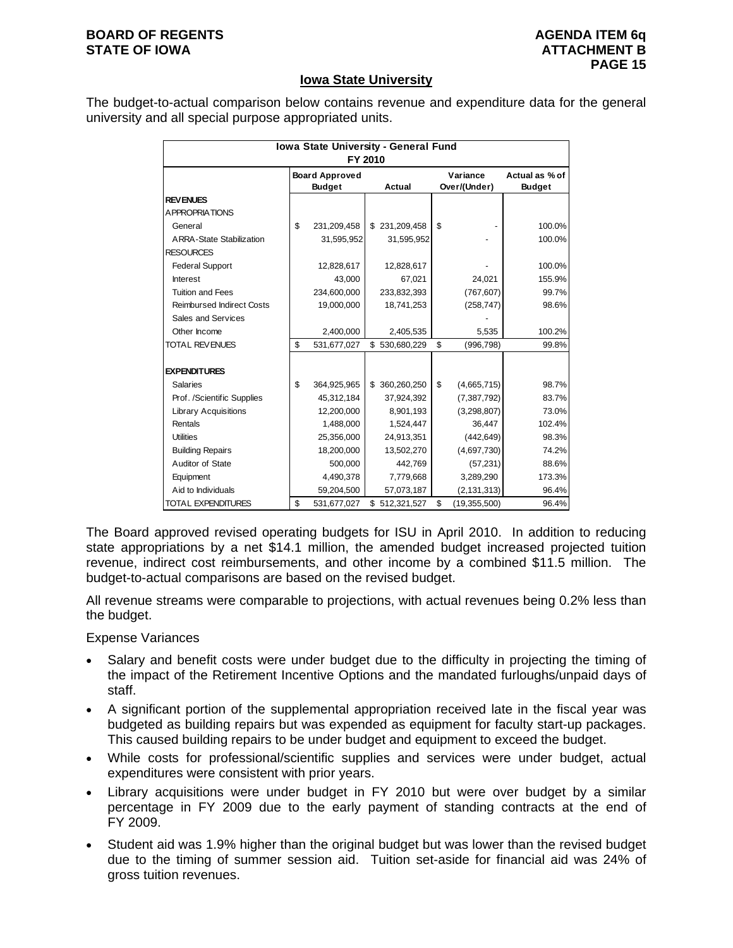#### **Iowa State University**

The budget-to-actual comparison below contains revenue and expenditure data for the general university and all special purpose appropriated units.

| Iowa State University - General Fund<br>FY 2010 |    |                                                  |  |               |                          |                |                                 |  |  |  |  |
|-------------------------------------------------|----|--------------------------------------------------|--|---------------|--------------------------|----------------|---------------------------------|--|--|--|--|
|                                                 |    | <b>Board Approved</b><br><b>Budget</b><br>Actual |  |               | Variance<br>Over/(Under) |                | Actual as % of<br><b>Budget</b> |  |  |  |  |
| <b>REVENUES</b>                                 |    |                                                  |  |               |                          |                |                                 |  |  |  |  |
| <b>APPROPRIATIONS</b>                           |    |                                                  |  |               |                          |                |                                 |  |  |  |  |
| General                                         | \$ | 231,209,458                                      |  | \$231,209,458 | \$                       |                | 100.0%                          |  |  |  |  |
| <b>ARRA-State Stabilization</b>                 |    | 31,595,952                                       |  | 31,595,952    |                          |                | 100.0%                          |  |  |  |  |
| <b>RESOURCES</b>                                |    |                                                  |  |               |                          |                |                                 |  |  |  |  |
| <b>Federal Support</b>                          |    | 12,828,617                                       |  | 12,828,617    |                          |                | 100.0%                          |  |  |  |  |
| <b>Interest</b>                                 |    | 43,000                                           |  | 67.021        |                          | 24,021         | 155.9%                          |  |  |  |  |
| <b>Tuition and Fees</b>                         |    | 234,600,000                                      |  | 233,832,393   |                          | (767, 607)     | 99.7%                           |  |  |  |  |
| <b>Reimbursed Indirect Costs</b>                |    | 19,000,000                                       |  | 18,741,253    |                          | (258, 747)     | 98.6%                           |  |  |  |  |
| Sales and Services                              |    |                                                  |  |               |                          |                |                                 |  |  |  |  |
| Other Income                                    |    | 2,400,000                                        |  | 2,405,535     |                          | 5,535          | 100.2%                          |  |  |  |  |
| <b>TOTAL REVENUES</b>                           | \$ | 531,677,027                                      |  | \$530,680,229 | \$                       | (996, 798)     | 99.8%                           |  |  |  |  |
| <b>EXPENDITURES</b>                             |    |                                                  |  |               |                          |                |                                 |  |  |  |  |
| <b>Salaries</b>                                 | \$ | 364,925,965                                      |  | \$360,260,250 | \$                       | (4,665,715)    | 98.7%                           |  |  |  |  |
| Prof. /Scientific Supplies                      |    | 45,312,184                                       |  | 37,924,392    |                          | (7, 387, 792)  | 83.7%                           |  |  |  |  |
| <b>Library Acquisitions</b>                     |    | 12,200,000                                       |  | 8,901,193     |                          | (3, 298, 807)  | 73.0%                           |  |  |  |  |
| Rentals                                         |    | 1,488,000                                        |  | 1,524,447     |                          | 36,447         | 102.4%                          |  |  |  |  |
| <b>Utilities</b>                                |    | 25,356,000                                       |  | 24,913,351    |                          | (442, 649)     | 98.3%                           |  |  |  |  |
| <b>Building Repairs</b>                         |    | 18,200,000                                       |  | 13,502,270    |                          | (4,697,730)    | 74.2%                           |  |  |  |  |
| Auditor of State                                |    | 500,000                                          |  | 442,769       |                          | (57, 231)      | 88.6%                           |  |  |  |  |
| Equipment                                       |    | 4,490,378                                        |  | 7,779,668     |                          | 3,289,290      | 173.3%                          |  |  |  |  |
| Aid to Individuals                              |    | 59,204,500                                       |  | 57,073,187    |                          | (2, 131, 313)  | 96.4%                           |  |  |  |  |
| <b>TOTAL EXPENDITURES</b>                       | \$ | 531,677,027                                      |  | \$512,321,527 | \$                       | (19, 355, 500) | 96.4%                           |  |  |  |  |

The Board approved revised operating budgets for ISU in April 2010. In addition to reducing state appropriations by a net \$14.1 million, the amended budget increased projected tuition revenue, indirect cost reimbursements, and other income by a combined \$11.5 million. The budget-to-actual comparisons are based on the revised budget.

All revenue streams were comparable to projections, with actual revenues being 0.2% less than the budget.

Expense Variances

- Salary and benefit costs were under budget due to the difficulty in projecting the timing of the impact of the Retirement Incentive Options and the mandated furloughs/unpaid days of staff.
- A significant portion of the supplemental appropriation received late in the fiscal year was budgeted as building repairs but was expended as equipment for faculty start-up packages. This caused building repairs to be under budget and equipment to exceed the budget.
- While costs for professional/scientific supplies and services were under budget, actual expenditures were consistent with prior years.
- Library acquisitions were under budget in FY 2010 but were over budget by a similar percentage in FY 2009 due to the early payment of standing contracts at the end of FY 2009.
- Student aid was 1.9% higher than the original budget but was lower than the revised budget due to the timing of summer session aid. Tuition set-aside for financial aid was 24% of gross tuition revenues.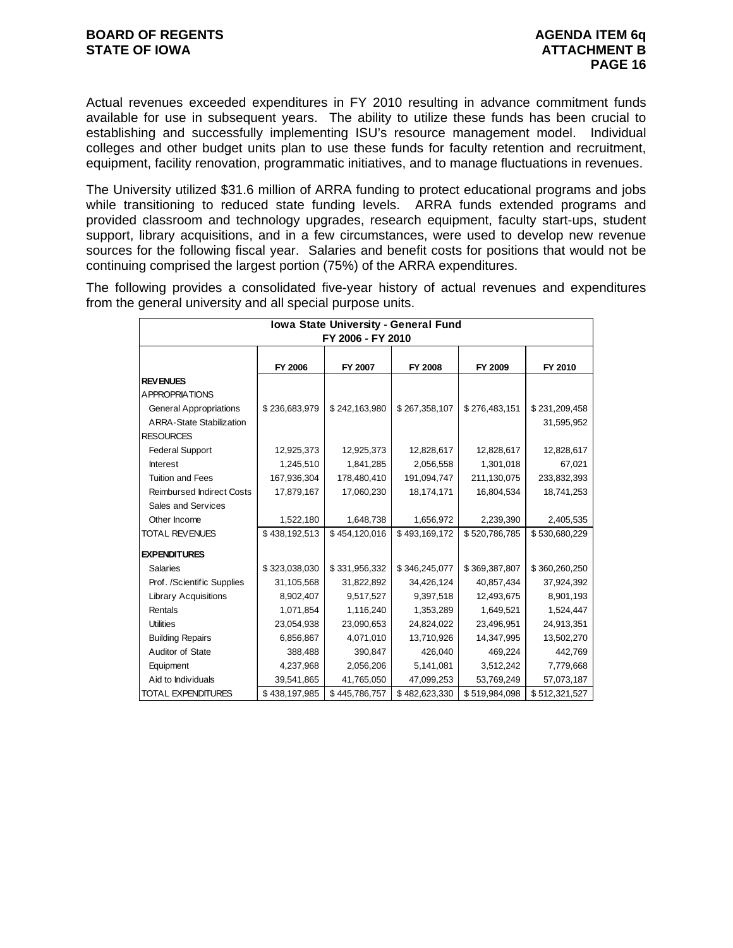Actual revenues exceeded expenditures in FY 2010 resulting in advance commitment funds available for use in subsequent years. The ability to utilize these funds has been crucial to establishing and successfully implementing ISU's resource management model. Individual colleges and other budget units plan to use these funds for faculty retention and recruitment, equipment, facility renovation, programmatic initiatives, and to manage fluctuations in revenues.

The University utilized \$31.6 million of ARRA funding to protect educational programs and jobs while transitioning to reduced state funding levels. ARRA funds extended programs and provided classroom and technology upgrades, research equipment, faculty start-ups, student support, library acquisitions, and in a few circumstances, were used to develop new revenue sources for the following fiscal year. Salaries and benefit costs for positions that would not be continuing comprised the largest portion (75%) of the ARRA expenditures.

The following provides a consolidated five-year history of actual revenues and expenditures from the general university and all special purpose units.

| Iowa State University - General Fund<br>FY 2006 - FY 2010 |               |               |               |               |               |  |  |  |  |  |  |
|-----------------------------------------------------------|---------------|---------------|---------------|---------------|---------------|--|--|--|--|--|--|
|                                                           | FY 2006       | FY 2007       | FY 2008       | FY 2009       | FY 2010       |  |  |  |  |  |  |
| <b>REVENUES</b>                                           |               |               |               |               |               |  |  |  |  |  |  |
| <b>APPROPRIATIONS</b>                                     |               |               |               |               |               |  |  |  |  |  |  |
| <b>General Appropriations</b>                             | \$236,683,979 | \$242,163,980 | \$267,358,107 | \$276,483,151 | \$231,209,458 |  |  |  |  |  |  |
| <b>ARRA-State Stabilization</b>                           |               |               |               |               | 31,595,952    |  |  |  |  |  |  |
| <b>RESOURCES</b>                                          |               |               |               |               |               |  |  |  |  |  |  |
| <b>Federal Support</b>                                    | 12,925,373    | 12,925,373    | 12,828,617    | 12,828,617    | 12,828,617    |  |  |  |  |  |  |
| <b>Interest</b>                                           | 1,245,510     | 1,841,285     | 2,056,558     | 1,301,018     | 67,021        |  |  |  |  |  |  |
| <b>Tuition and Fees</b>                                   | 167,936,304   | 178,480,410   | 191,094,747   | 211,130,075   | 233,832,393   |  |  |  |  |  |  |
| <b>Reimbursed Indirect Costs</b>                          | 17,879,167    | 17,060,230    | 18,174,171    | 16,804,534    | 18,741,253    |  |  |  |  |  |  |
| Sales and Services                                        |               |               |               |               |               |  |  |  |  |  |  |
| Other Income                                              | 1,522,180     | 1,648,738     | 1,656,972     | 2,239,390     | 2,405,535     |  |  |  |  |  |  |
| <b>TOTAL REVENUES</b>                                     | \$438,192,513 | \$454,120,016 | \$493,169,172 | \$520,786,785 | \$530,680,229 |  |  |  |  |  |  |
| <b>EXPENDITURES</b>                                       |               |               |               |               |               |  |  |  |  |  |  |
| <b>Salaries</b>                                           | \$323,038,030 | \$331,956,332 | \$346,245,077 | \$369,387,807 | \$360,260,250 |  |  |  |  |  |  |
| Prof. /Scientific Supplies                                | 31,105,568    | 31,822,892    | 34,426,124    | 40,857,434    | 37,924,392    |  |  |  |  |  |  |
| <b>Library Acquisitions</b>                               | 8,902,407     | 9,517,527     | 9,397,518     | 12,493,675    | 8,901,193     |  |  |  |  |  |  |
| Rentals                                                   | 1,071,854     | 1,116,240     | 1,353,289     | 1,649,521     | 1,524,447     |  |  |  |  |  |  |
| <b>Utilities</b>                                          | 23,054,938    | 23,090,653    | 24,824,022    | 23,496,951    | 24,913,351    |  |  |  |  |  |  |
| <b>Building Repairs</b>                                   | 6,856,867     | 4,071,010     | 13,710,926    | 14,347,995    | 13,502,270    |  |  |  |  |  |  |
| Auditor of State                                          | 388,488       | 390,847       | 426,040       | 469,224       | 442,769       |  |  |  |  |  |  |
| Equipment                                                 | 4,237,968     | 2,056,206     | 5,141,081     | 3,512,242     | 7,779,668     |  |  |  |  |  |  |
| Aid to Individuals                                        | 39,541,865    | 41,765,050    | 47,099,253    | 53,769,249    | 57,073,187    |  |  |  |  |  |  |
| <b>TOTAL EXPENDITURES</b>                                 | \$438,197,985 | \$445,786,757 | \$482,623,330 | \$519,984,098 | \$512,321,527 |  |  |  |  |  |  |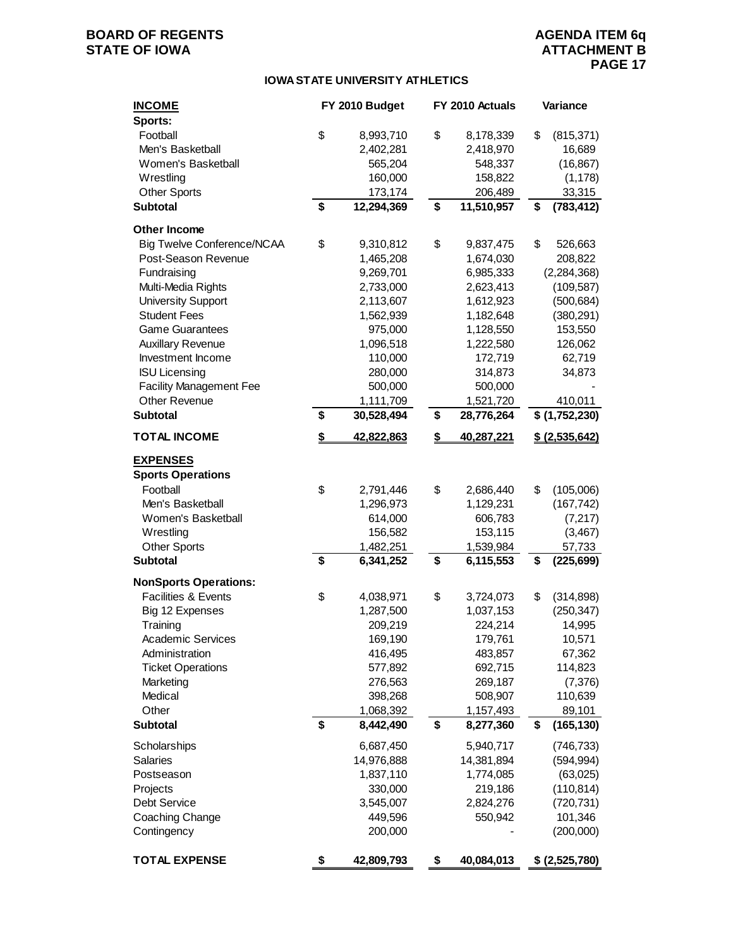### **BOARD OF REGENTS**<br> **BOARD OF REGENTS**<br> **BOARD OF IOWA**<br> **ATTACHMENT B**

### **ATTACHMENT B PAGE 17**

#### **IOWA STATE UNIVERSITY ATHLETICS**

| <b>INCOME</b>                     | FY 2010 Budget          | FY 2010 Actuals         | Variance                 |
|-----------------------------------|-------------------------|-------------------------|--------------------------|
| Sports:                           |                         |                         |                          |
| Football                          | \$<br>8,993,710         | \$<br>8,178,339         | \$<br>(815, 371)         |
| Men's Basketball                  | 2,402,281               | 2,418,970               | 16,689                   |
| Women's Basketball                | 565,204                 | 548,337                 | (16, 867)                |
| Wrestling                         | 160,000                 | 158,822                 | (1, 178)                 |
| <b>Other Sports</b>               | 173,174                 | 206,489                 | 33,315                   |
| <b>Subtotal</b>                   | \$<br>12,294,369        | \$<br>11,510,957        | \$<br>(783, 412)         |
| <b>Other Income</b>               |                         |                         |                          |
| <b>Big Twelve Conference/NCAA</b> | \$<br>9,310,812         | \$<br>9,837,475         | \$<br>526,663            |
| Post-Season Revenue               | 1,465,208               | 1,674,030               | 208,822                  |
| Fundraising                       | 9,269,701               | 6,985,333               | (2, 284, 368)            |
| Multi-Media Rights                | 2,733,000               | 2,623,413               | (109, 587)               |
| <b>University Support</b>         | 2,113,607               | 1,612,923               | (500, 684)               |
| <b>Student Fees</b>               | 1,562,939               | 1,182,648               | (380, 291)               |
| <b>Game Guarantees</b>            | 975,000                 | 1,128,550               | 153,550                  |
| <b>Auxillary Revenue</b>          | 1,096,518               | 1,222,580               | 126,062                  |
| Investment Income                 | 110,000                 | 172,719                 | 62,719                   |
| <b>ISU Licensing</b>              | 280,000                 | 314,873                 | 34,873                   |
| <b>Facility Management Fee</b>    | 500,000                 | 500,000                 |                          |
| Other Revenue                     | 1,111,709               | 1,521,720               | 410,011                  |
| <b>Subtotal</b>                   | \$<br>30,528,494        | \$<br>28,776,264        | \$ (1,752,230)           |
| <b>TOTAL INCOME</b>               | \$<br>42,822,863        | \$<br>40,287,221        | <u>\$(2,535,642)</u>     |
| <b>EXPENSES</b>                   |                         |                         |                          |
| <b>Sports Operations</b>          |                         |                         |                          |
| Football                          | \$<br>2,791,446         | \$<br>2,686,440         | \$<br>(105,006)          |
| Men's Basketball                  | 1,296,973               | 1,129,231               | (167, 742)               |
| Women's Basketball                | 614,000                 | 606,783                 | (7, 217)                 |
| Wrestling                         | 156,582                 | 153,115                 | (3, 467)                 |
| <b>Other Sports</b>               | 1,482,251               | 1,539,984               | 57,733                   |
| <b>Subtotal</b>                   | \$<br>6,341,252         | \$<br>6,115,553         | \$<br>(225, 699)         |
| <b>NonSports Operations:</b>      |                         |                         |                          |
| Facilities & Events               | \$                      | \$                      | \$                       |
|                                   | 4,038,971               | 3,724,073               | (314, 898)<br>(250, 347) |
| Big 12 Expenses<br>Training       | 1,287,500<br>209,219    | 1,037,153<br>224,214    | 14,995                   |
| Academic Services                 | 169,190                 | 179,761                 | 10,571                   |
| Administration                    | 416,495                 | 483,857                 | 67,362                   |
| <b>Ticket Operations</b>          | 577,892                 | 692,715                 | 114,823                  |
| Marketing                         | 276,563                 | 269,187                 | (7, 376)                 |
| Medical                           | 398,268                 | 508,907                 | 110,639                  |
| Other                             | 1,068,392               | 1,157,493               | 89,101                   |
| <b>Subtotal</b>                   | \$<br>8,442,490         | \$<br>8,277,360         | \$<br>(165, 130)         |
|                                   |                         |                         |                          |
| Scholarships<br>Salaries          | 6,687,450<br>14,976,888 | 5,940,717<br>14,381,894 | (746, 733)<br>(594, 994) |
| Postseason                        | 1,837,110               | 1,774,085               | (63,025)                 |
| Projects                          | 330,000                 | 219,186                 | (110, 814)               |
| <b>Debt Service</b>               | 3,545,007               | 2,824,276               | (720, 731)               |
| Coaching Change                   | 449,596                 | 550,942                 | 101,346                  |
| Contingency                       | 200,000                 |                         | (200,000)                |
|                                   |                         |                         |                          |
| <b>TOTAL EXPENSE</b>              | \$<br>42,809,793        | \$<br>40,084,013        | \$ (2,525,780)           |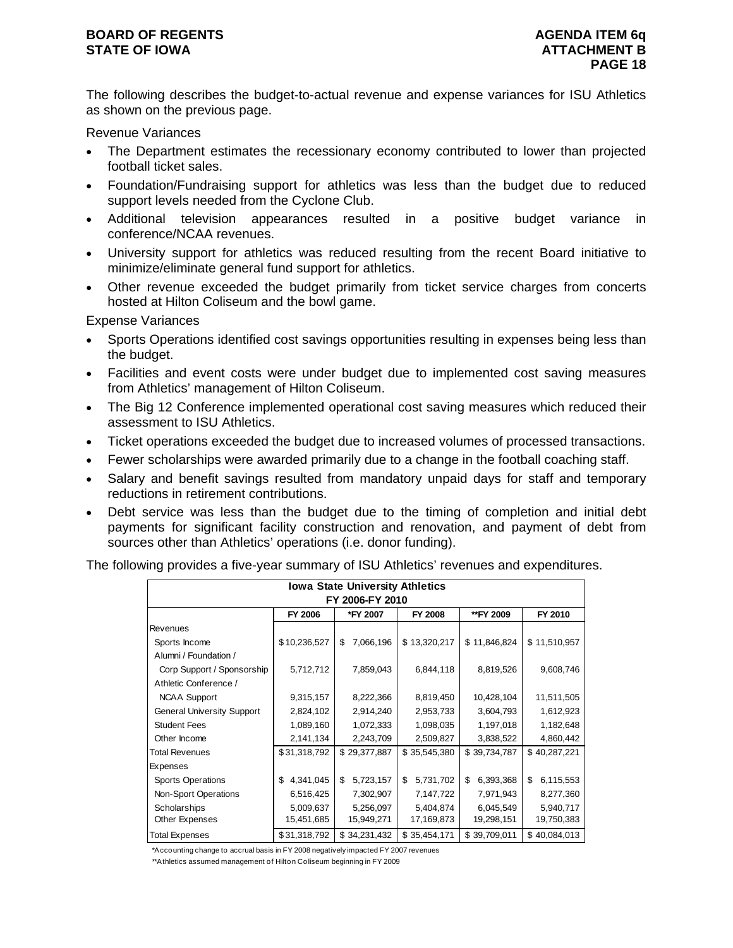The following describes the budget-to-actual revenue and expense variances for ISU Athletics as shown on the previous page.

Revenue Variances

- The Department estimates the recessionary economy contributed to lower than projected football ticket sales.
- Foundation/Fundraising support for athletics was less than the budget due to reduced support levels needed from the Cyclone Club.
- Additional television appearances resulted in a positive budget variance in conference/NCAA revenues.
- University support for athletics was reduced resulting from the recent Board initiative to minimize/eliminate general fund support for athletics.
- Other revenue exceeded the budget primarily from ticket service charges from concerts hosted at Hilton Coliseum and the bowl game.

Expense Variances

- Sports Operations identified cost savings opportunities resulting in expenses being less than the budget.
- Facilities and event costs were under budget due to implemented cost saving measures from Athletics' management of Hilton Coliseum.
- The Big 12 Conference implemented operational cost saving measures which reduced their assessment to ISU Athletics.
- Ticket operations exceeded the budget due to increased volumes of processed transactions.
- Fewer scholarships were awarded primarily due to a change in the football coaching staff.
- Salary and benefit savings resulted from mandatory unpaid days for staff and temporary reductions in retirement contributions.
- Debt service was less than the budget due to the timing of completion and initial debt payments for significant facility construction and renovation, and payment of debt from sources other than Athletics' operations (i.e. donor funding).

The following provides a five-year summary of ISU Athletics' revenues and expenditures.

|                                                        | <b>Iowa State University Athletics</b> |                 |                 |                 |                 |  |  |  |  |  |  |  |
|--------------------------------------------------------|----------------------------------------|-----------------|-----------------|-----------------|-----------------|--|--|--|--|--|--|--|
| FY 2006-FY 2010                                        |                                        |                 |                 |                 |                 |  |  |  |  |  |  |  |
| FY 2006<br>*FY 2007<br>FY 2008<br>FY 2010<br>**FY 2009 |                                        |                 |                 |                 |                 |  |  |  |  |  |  |  |
| Revenues                                               |                                        |                 |                 |                 |                 |  |  |  |  |  |  |  |
| Sports Income                                          | \$10,236,527                           | 7,066,196<br>\$ | \$13,320,217    | \$11,846,824    | \$11,510,957    |  |  |  |  |  |  |  |
| Alumni / Foundation /                                  |                                        |                 |                 |                 |                 |  |  |  |  |  |  |  |
| Corp Support / Sponsorship                             | 5,712,712                              | 7,859,043       | 6,844,118       | 8,819,526       | 9,608,746       |  |  |  |  |  |  |  |
| Athletic Conference /                                  |                                        |                 |                 |                 |                 |  |  |  |  |  |  |  |
| <b>NCAA Support</b>                                    | 9,315,157                              | 8,222,366       | 8,819,450       | 10,428,104      | 11,511,505      |  |  |  |  |  |  |  |
| <b>General University Support</b>                      | 2,824,102                              | 2,914,240       | 2,953,733       | 3,604,793       | 1,612,923       |  |  |  |  |  |  |  |
| <b>Student Fees</b>                                    | 1,089,160                              | 1,072,333       | 1,098,035       | 1,197,018       | 1,182,648       |  |  |  |  |  |  |  |
| Other Income                                           | 2,141,134                              | 2,243,709       | 2,509,827       | 3,838,522       | 4,860,442       |  |  |  |  |  |  |  |
| <b>Total Revenues</b>                                  | \$31,318,792                           | \$29,377,887    | \$35,545,380    | \$39,734,787    | \$40,287,221    |  |  |  |  |  |  |  |
| Expenses                                               |                                        |                 |                 |                 |                 |  |  |  |  |  |  |  |
| <b>Sports Operations</b>                               | 4,341,045<br>\$                        | 5,723,157<br>\$ | 5,731,702<br>\$ | \$<br>6,393,368 | 6,115,553<br>\$ |  |  |  |  |  |  |  |
| Non-Sport Operations                                   | 6,516,425                              | 7,302,907       | 7,147,722       | 7,971,943       | 8,277,360       |  |  |  |  |  |  |  |
| Scholarships                                           | 5,009,637                              | 5,256,097       | 5,404,874       | 6,045,549       | 5,940,717       |  |  |  |  |  |  |  |
| Other Expenses                                         | 15,451,685                             | 15,949,271      | 17,169,873      | 19,298,151      | 19,750,383      |  |  |  |  |  |  |  |
| <b>Total Expenses</b>                                  | \$31,318,792                           | \$34,231,432    | \$35,454,171    | \$39,709,011    | \$40,084,013    |  |  |  |  |  |  |  |

\*Accounting change to accrual basis in FY 2008 negatively impacted FY 2007 revenues

\*\*Athletics assumed management of Hilton Coliseum beginning in FY 2009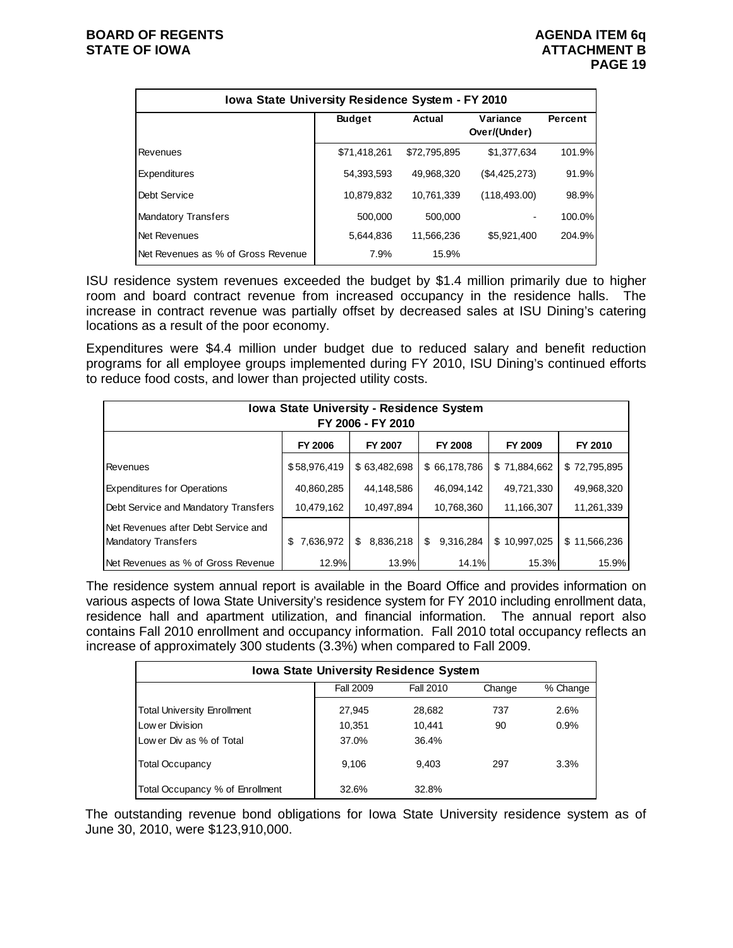| Iowa State University Residence System - FY 2010 |               |              |                          |         |  |  |  |  |  |  |
|--------------------------------------------------|---------------|--------------|--------------------------|---------|--|--|--|--|--|--|
|                                                  | <b>Budget</b> | Actual       | Variance<br>Over/(Under) | Percent |  |  |  |  |  |  |
| Revenues                                         | \$71,418,261  | \$72.795.895 | \$1,377,634              | 101.9%  |  |  |  |  |  |  |
| Expenditures                                     | 54.393.593    | 49.968.320   | (\$4,425,273)            | 91.9%   |  |  |  |  |  |  |
| Debt Service                                     | 10,879,832    | 10.761.339   | (118, 493.00)            | 98.9%   |  |  |  |  |  |  |
| Mandatory Transfers                              | 500.000       | 500,000      |                          | 100.0%  |  |  |  |  |  |  |
| Net Revenues                                     | 5,644,836     | 11.566.236   | \$5,921,400              | 204.9%  |  |  |  |  |  |  |
| Net Revenues as % of Gross Revenue               | 7.9%          | 15.9%        |                          |         |  |  |  |  |  |  |

ISU residence system revenues exceeded the budget by \$1.4 million primarily due to higher room and board contract revenue from increased occupancy in the residence halls. The increase in contract revenue was partially offset by decreased sales at ISU Dining's catering locations as a result of the poor economy.

Expenditures were \$4.4 million under budget due to reduced salary and benefit reduction programs for all employee groups implemented during FY 2010, ISU Dining's continued efforts to reduce food costs, and lower than projected utility costs.

| Iowa State University - Residence System<br>FY 2006 - FY 2010                   |                  |                 |                 |              |              |  |  |  |  |  |  |
|---------------------------------------------------------------------------------|------------------|-----------------|-----------------|--------------|--------------|--|--|--|--|--|--|
| <b>FY 2006</b><br><b>FY 2007</b><br><b>FY 2008</b><br><b>FY 2009</b><br>FY 2010 |                  |                 |                 |              |              |  |  |  |  |  |  |
| Revenues                                                                        | \$58,976,419     | \$63,482,698    | \$66,178,786    | \$71,884,662 | \$72,795,895 |  |  |  |  |  |  |
| <b>Expenditures for Operations</b>                                              | 40,860,285       | 44,148,586      | 46,094,142      | 49,721,330   | 49,968,320   |  |  |  |  |  |  |
| Debt Service and Mandatory Transfers                                            | 10,479,162       | 10,497,894      | 10,768,360      | 11,166,307   | 11,261,339   |  |  |  |  |  |  |
| Net Revenues after Debt Service and<br>Mandatory Transfers                      | 7,636,972<br>\$. | 8,836,218<br>\$ | \$<br>9,316,284 | \$10,997,025 | \$11,566,236 |  |  |  |  |  |  |
| Net Revenues as % of Gross Revenue                                              | 12.9%            | 13.9%           | 14.1%           | 15.3%        | 15.9%        |  |  |  |  |  |  |

The residence system annual report is available in the Board Office and provides information on various aspects of Iowa State University's residence system for FY 2010 including enrollment data, residence hall and apartment utilization, and financial information. The annual report also contains Fall 2010 enrollment and occupancy information. Fall 2010 total occupancy reflects an increase of approximately 300 students (3.3%) when compared to Fall 2009.

| <b>Iowa State University Residence System</b> |                  |           |        |          |  |  |  |  |  |  |
|-----------------------------------------------|------------------|-----------|--------|----------|--|--|--|--|--|--|
|                                               | <b>Fall 2009</b> | Fall 2010 | Change | % Change |  |  |  |  |  |  |
| <b>Total University Enrollment</b>            | 27.945           | 28,682    | 737    | 2.6%     |  |  |  |  |  |  |
| Low er Division                               | 10,351           | 10.441    | 90     | 0.9%     |  |  |  |  |  |  |
| Low er Div as % of Total                      | 37.0%            | 36.4%     |        |          |  |  |  |  |  |  |
| <b>Total Occupancy</b>                        | 9.106            | 9.403     | 297    | 3.3%     |  |  |  |  |  |  |
| Total Occupancy % of Enrollment               | 32.6%            | 32.8%     |        |          |  |  |  |  |  |  |

The outstanding revenue bond obligations for Iowa State University residence system as of June 30, 2010, were \$123,910,000.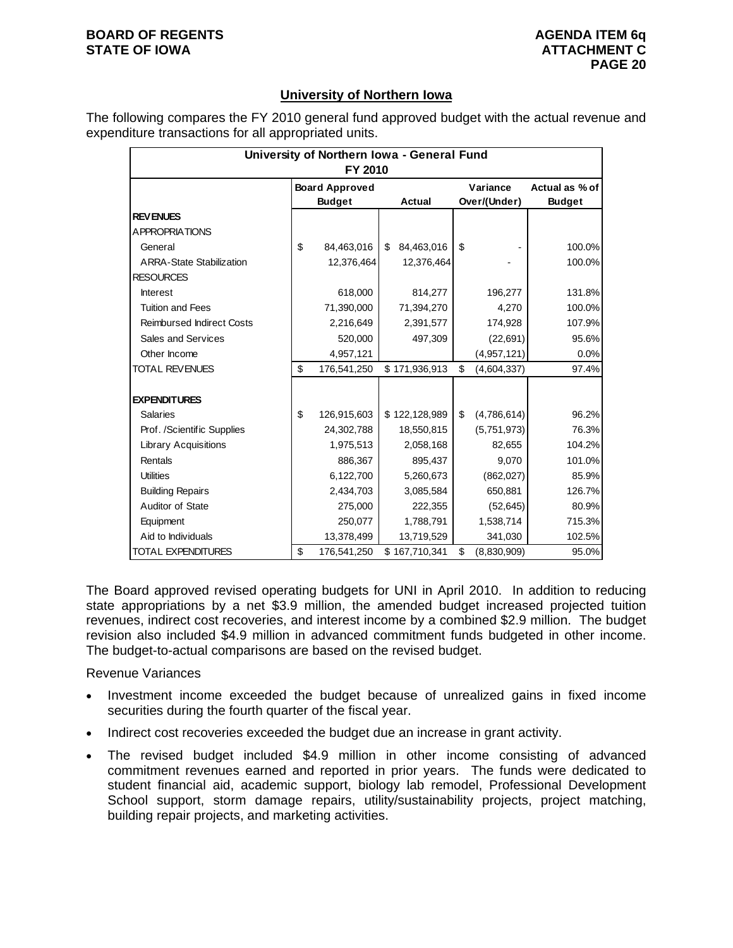#### **University of Northern Iowa**

The following compares the FY 2010 general fund approved budget with the actual revenue and expenditure transactions for all appropriated units.

| University of Northern Iowa - General Fund<br>FY 2010 |    |                                                         |    |               |    |                          |                                 |  |  |
|-------------------------------------------------------|----|---------------------------------------------------------|----|---------------|----|--------------------------|---------------------------------|--|--|
|                                                       |    | <b>Board Approved</b><br><b>Budget</b><br><b>Actual</b> |    |               |    | Variance<br>Over/(Under) | Actual as % of<br><b>Budget</b> |  |  |
| <b>REVENUES</b>                                       |    |                                                         |    |               |    |                          |                                 |  |  |
| <b>APPROPRIATIONS</b>                                 |    |                                                         |    |               |    |                          |                                 |  |  |
| General                                               | \$ | 84,463,016                                              | \$ | 84,463,016    | \$ |                          | 100.0%                          |  |  |
| <b>ARRA-State Stabilization</b>                       |    | 12,376,464                                              |    | 12,376,464    |    |                          | 100.0%                          |  |  |
| <b>RESOURCES</b>                                      |    |                                                         |    |               |    |                          |                                 |  |  |
| <b>Interest</b>                                       |    | 618,000                                                 |    | 814,277       |    | 196,277                  | 131.8%                          |  |  |
| <b>Tuition and Fees</b>                               |    | 71,390,000                                              |    | 71,394,270    |    | 4,270                    | 100.0%                          |  |  |
| <b>Reimbursed Indirect Costs</b>                      |    | 2,216,649                                               |    | 2,391,577     |    | 174,928                  | 107.9%                          |  |  |
| Sales and Services                                    |    | 520,000                                                 |    | 497,309       |    | (22,691)                 | 95.6%                           |  |  |
| Other Income                                          |    | 4,957,121                                               |    |               |    | (4,957,121)              | 0.0%                            |  |  |
| <b>TOTAL REVENUES</b>                                 | \$ | 176,541,250                                             |    | \$171,936,913 | \$ | (4,604,337)              | 97.4%                           |  |  |
| <b>EXPENDITURES</b>                                   |    |                                                         |    |               |    |                          |                                 |  |  |
| <b>Salaries</b>                                       | \$ | 126,915,603                                             |    | \$122,128,989 | \$ | (4,786,614)              | 96.2%                           |  |  |
| Prof. /Scientific Supplies                            |    | 24,302,788                                              |    | 18,550,815    |    | (5,751,973)              | 76.3%                           |  |  |
| <b>Library Acquisitions</b>                           |    | 1,975,513                                               |    | 2,058,168     |    | 82,655                   | 104.2%                          |  |  |
| Rentals                                               |    | 886,367                                                 |    | 895,437       |    | 9,070                    | 101.0%                          |  |  |
| <b>Utilities</b>                                      |    | 6,122,700                                               |    | 5,260,673     |    | (862,027)                | 85.9%                           |  |  |
| <b>Building Repairs</b>                               |    | 2,434,703                                               |    | 3,085,584     |    | 650,881                  | 126.7%                          |  |  |
| Auditor of State                                      |    | 275,000                                                 |    | 222,355       |    | (52, 645)                | 80.9%                           |  |  |
| Equipment                                             |    | 250,077                                                 |    | 1,788,791     |    | 1,538,714                | 715.3%                          |  |  |
| Aid to Individuals                                    |    | 13,378,499                                              |    | 13,719,529    |    | 341,030                  | 102.5%                          |  |  |
| <b>TOTAL EXPENDITURES</b>                             | \$ | 176,541,250                                             |    | \$167,710,341 | \$ | (8,830,909)              | 95.0%                           |  |  |

The Board approved revised operating budgets for UNI in April 2010. In addition to reducing state appropriations by a net \$3.9 million, the amended budget increased projected tuition revenues, indirect cost recoveries, and interest income by a combined \$2.9 million. The budget revision also included \$4.9 million in advanced commitment funds budgeted in other income. The budget-to-actual comparisons are based on the revised budget.

Revenue Variances

- Investment income exceeded the budget because of unrealized gains in fixed income securities during the fourth quarter of the fiscal year.
- Indirect cost recoveries exceeded the budget due an increase in grant activity.
- The revised budget included \$4.9 million in other income consisting of advanced commitment revenues earned and reported in prior years. The funds were dedicated to student financial aid, academic support, biology lab remodel, Professional Development School support, storm damage repairs, utility/sustainability projects, project matching, building repair projects, and marketing activities.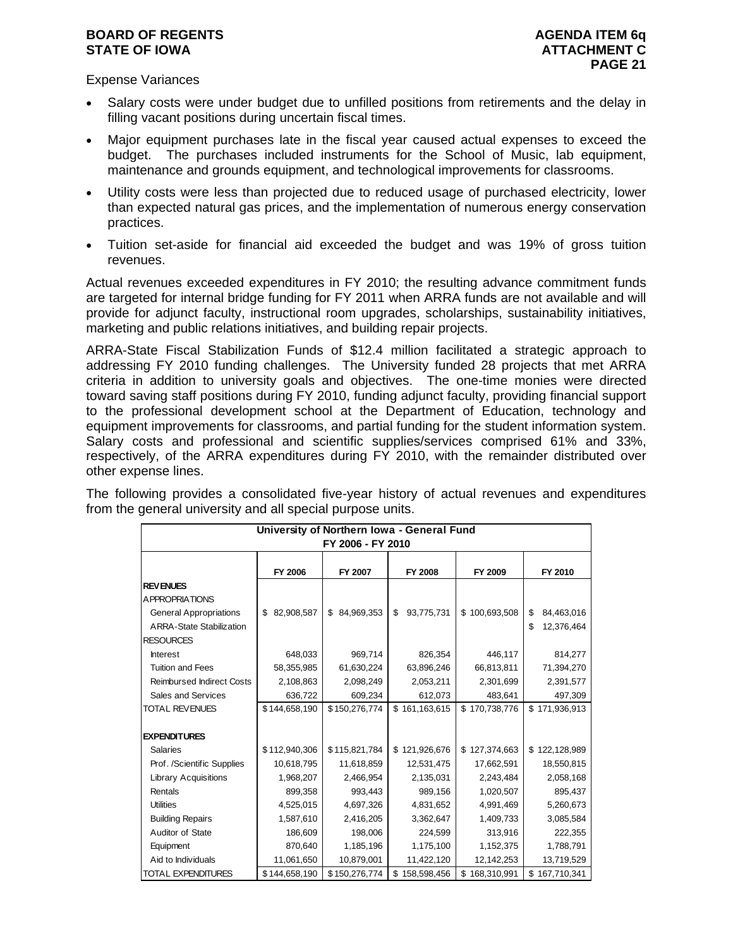Expense Variances

- Salary costs were under budget due to unfilled positions from retirements and the delay in filling vacant positions during uncertain fiscal times.
- Major equipment purchases late in the fiscal year caused actual expenses to exceed the budget. The purchases included instruments for the School of Music, lab equipment, maintenance and grounds equipment, and technological improvements for classrooms.
- Utility costs were less than projected due to reduced usage of purchased electricity, lower than expected natural gas prices, and the implementation of numerous energy conservation practices.
- Tuition set-aside for financial aid exceeded the budget and was 19% of gross tuition revenues.

Actual revenues exceeded expenditures in FY 2010; the resulting advance commitment funds are targeted for internal bridge funding for FY 2011 when ARRA funds are not available and will provide for adjunct faculty, instructional room upgrades, scholarships, sustainability initiatives, marketing and public relations initiatives, and building repair projects.

ARRA-State Fiscal Stabilization Funds of \$12.4 million facilitated a strategic approach to addressing FY 2010 funding challenges. The University funded 28 projects that met ARRA criteria in addition to university goals and objectives. The one-time monies were directed toward saving staff positions during FY 2010, funding adjunct faculty, providing financial support to the professional development school at the Department of Education, technology and equipment improvements for classrooms, and partial funding for the student information system. Salary costs and professional and scientific supplies/services comprised 61% and 33%, respectively, of the ARRA expenditures during FY 2010, with the remainder distributed over other expense lines.

The following provides a consolidated five-year history of actual revenues and expenditures from the general university and all special purpose units.

| University of Northern Iowa - General Fund<br>FY 2006 - FY 2010                      |                  |                  |                  |               |                                      |  |  |  |  |  |  |
|--------------------------------------------------------------------------------------|------------------|------------------|------------------|---------------|--------------------------------------|--|--|--|--|--|--|
|                                                                                      | FY 2006          | FY 2007          | <b>FY 2008</b>   | FY 2009       | FY 2010                              |  |  |  |  |  |  |
| <b>REVENUES</b><br><b>APPROPRIATIONS</b>                                             |                  |                  |                  |               |                                      |  |  |  |  |  |  |
| <b>General Appropriations</b><br><b>ARRA-State Stabilization</b><br><b>RESOURCES</b> | 82,908,587<br>\$ | 84,969,353<br>\$ | \$<br>93,775,731 | \$100,693,508 | \$<br>84,463,016<br>\$<br>12,376,464 |  |  |  |  |  |  |
| <b>Interest</b>                                                                      | 648,033          | 969,714          | 826,354          | 446,117       | 814,277                              |  |  |  |  |  |  |
| <b>Tuition and Fees</b>                                                              | 58,355,985       | 61,630,224       | 63,896,246       | 66,813,811    | 71,394,270                           |  |  |  |  |  |  |
| <b>Reimbursed Indirect Costs</b>                                                     | 2,108,863        | 2,098,249        | 2,053,211        | 2,301,699     | 2,391,577                            |  |  |  |  |  |  |
| Sales and Services                                                                   | 636,722          | 609,234          | 612,073          | 483,641       | 497,309                              |  |  |  |  |  |  |
| <b>TOTAL REVENUES</b>                                                                | \$144,658,190    | \$150,276,774    | \$161,163,615    | \$170,738,776 | \$171,936,913                        |  |  |  |  |  |  |
| <b>EXPENDITURES</b>                                                                  |                  |                  |                  |               |                                      |  |  |  |  |  |  |
| <b>Salaries</b>                                                                      | \$112,940,306    | \$115,821,784    | \$121,926,676    | \$127,374,663 | \$122,128,989                        |  |  |  |  |  |  |
| Prof. /Scientific Supplies                                                           | 10,618,795       | 11,618,859       | 12,531,475       | 17,662,591    | 18,550,815                           |  |  |  |  |  |  |
| <b>Library Acquisitions</b>                                                          | 1,968,207        | 2,466,954        | 2,135,031        | 2,243,484     | 2,058,168                            |  |  |  |  |  |  |
| Rentals                                                                              | 899,358          | 993,443          | 989,156          | 1,020,507     | 895,437                              |  |  |  |  |  |  |
| <b>Utilities</b>                                                                     | 4,525,015        | 4,697,326        | 4,831,652        | 4,991,469     | 5,260,673                            |  |  |  |  |  |  |
| <b>Building Repairs</b>                                                              | 1,587,610        | 2,416,205        | 3,362,647        | 1,409,733     | 3,085,584                            |  |  |  |  |  |  |
| Auditor of State                                                                     | 186,609          | 198,006          | 224,599          | 313,916       | 222,355                              |  |  |  |  |  |  |
| Equipment                                                                            | 870,640          | 1,185,196        | 1,175,100        | 1,152,375     | 1,788,791                            |  |  |  |  |  |  |
| Aid to Individuals                                                                   | 11,061,650       | 10,879,001       | 11,422,120       | 12,142,253    | 13,719,529                           |  |  |  |  |  |  |
| <b>TOTAL EXPENDITURES</b>                                                            | \$144,658,190    | \$150,276,774    | \$158,598,456    | \$168,310,991 | \$167,710,341                        |  |  |  |  |  |  |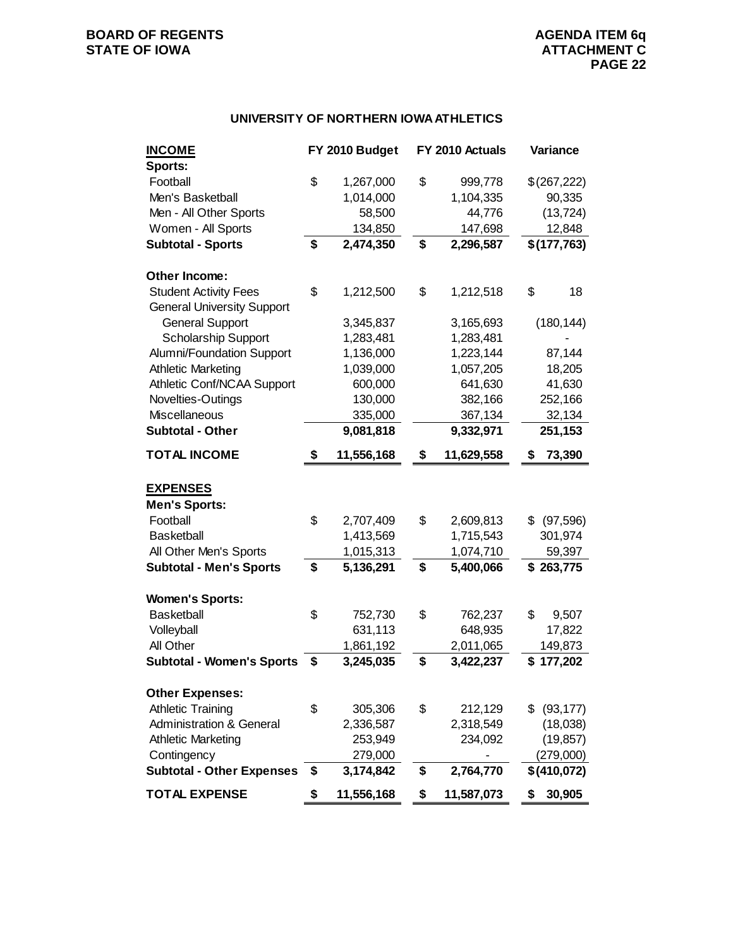#### **UNIVERSITY OF NORTHERN IOWA ATHLETICS**

| <b>INCOME</b>                       | FY 2010 Budget   | FY 2010 Actuals  | Variance     |  |
|-------------------------------------|------------------|------------------|--------------|--|
| Sports:                             |                  |                  |              |  |
| Football                            | \$<br>1,267,000  | \$<br>999,778    | \$(267,222)  |  |
| Men's Basketball                    | 1,014,000        | 1,104,335        | 90,335       |  |
| Men - All Other Sports              | 58,500           | 44,776           | (13, 724)    |  |
| Women - All Sports                  | 134,850          | 147,698          | 12,848       |  |
| <b>Subtotal - Sports</b>            | \$<br>2,474,350  | \$<br>2,296,587  | \$(177,763)  |  |
| Other Income:                       |                  |                  |              |  |
| <b>Student Activity Fees</b>        | \$<br>1,212,500  | \$<br>1,212,518  | \$<br>18     |  |
| <b>General University Support</b>   |                  |                  |              |  |
| <b>General Support</b>              | 3,345,837        | 3,165,693        | (180, 144)   |  |
| <b>Scholarship Support</b>          | 1,283,481        | 1,283,481        |              |  |
| Alumni/Foundation Support           | 1,136,000        | 1,223,144        | 87,144       |  |
| <b>Athletic Marketing</b>           | 1,039,000        | 1,057,205        | 18,205       |  |
| Athletic Conf/NCAA Support          | 600,000          | 641,630          | 41,630       |  |
| Novelties-Outings                   | 130,000          | 382,166          | 252,166      |  |
| Miscellaneous                       | 335,000          | 367,134          | 32,134       |  |
| <b>Subtotal - Other</b>             | 9,081,818        | 9,332,971        | 251,153      |  |
| <b>TOTAL INCOME</b>                 | \$<br>11,556,168 | \$<br>11,629,558 | 73,390<br>\$ |  |
| <b>EXPENSES</b>                     |                  |                  |              |  |
| <b>Men's Sports:</b>                |                  |                  |              |  |
| Football                            | \$<br>2,707,409  | \$<br>2,609,813  | \$ (97,596)  |  |
| <b>Basketball</b>                   | 1,413,569        | 1,715,543        | 301,974      |  |
| All Other Men's Sports              | 1,015,313        | 1,074,710        | 59,397       |  |
| <b>Subtotal - Men's Sports</b>      | \$<br>5,136,291  | \$<br>5,400,066  | \$263,775    |  |
| <b>Women's Sports:</b>              |                  |                  |              |  |
| <b>Basketball</b>                   | \$<br>752,730    | \$<br>762,237    | \$<br>9,507  |  |
| Volleyball                          | 631,113          | 648,935          | 17,822       |  |
| All Other                           | 1,861,192        | 2,011,065        | 149,873      |  |
| <b>Subtotal - Women's Sports</b>    | \$<br>3,245,035  | \$<br>3,422,237  | \$177,202    |  |
| <b>Other Expenses:</b>              |                  |                  |              |  |
| <b>Athletic Training</b>            | \$<br>305,306    | \$<br>212,129    | \$ (93, 177) |  |
| <b>Administration &amp; General</b> | 2,336,587        | 2,318,549        | (18,038)     |  |
| <b>Athletic Marketing</b>           | 253,949          | 234,092          | (19, 857)    |  |
| Contingency                         | 279,000          |                  | (279,000)    |  |
| <b>Subtotal - Other Expenses</b>    | \$<br>3,174,842  | \$<br>2,764,770  | \$(410,072)  |  |
| <b>TOTAL EXPENSE</b>                | \$<br>11,556,168 | \$<br>11,587,073 | 30,905<br>\$ |  |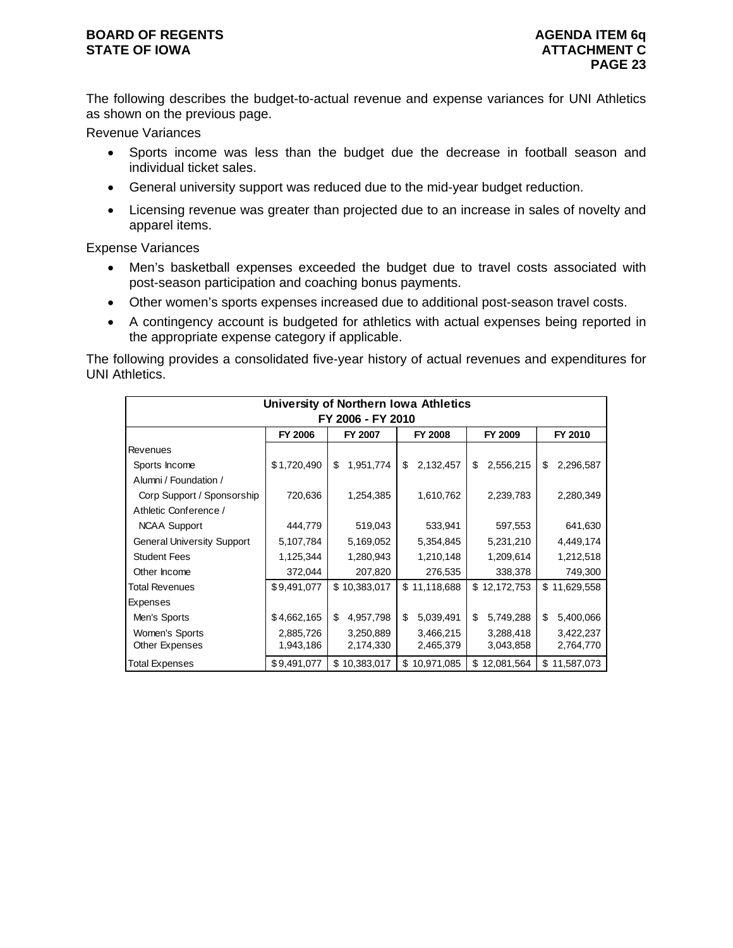The following describes the budget-to-actual revenue and expense variances for UNI Athletics as shown on the previous page.

Revenue Variances

- Sports income was less than the budget due the decrease in football season and individual ticket sales.
- General university support was reduced due to the mid-year budget reduction.
- Licensing revenue was greater than projected due to an increase in sales of novelty and apparel items.

Expense Variances

- Men's basketball expenses exceeded the budget due to travel costs associated with post-season participation and coaching bonus payments.
- Other women's sports expenses increased due to additional post-season travel costs.
- A contingency account is budgeted for athletics with actual expenses being reported in the appropriate expense category if applicable.

The following provides a consolidated five-year history of actual revenues and expenditures for UNI Athletics.

| University of Northern Iowa Athletics |                |                 |                  |                 |                  |  |  |  |  |  |  |  |
|---------------------------------------|----------------|-----------------|------------------|-----------------|------------------|--|--|--|--|--|--|--|
| FY 2006 - FY 2010                     |                |                 |                  |                 |                  |  |  |  |  |  |  |  |
|                                       | <b>FY 2006</b> | FY 2007         | FY 2008          | FY 2009         | FY 2010          |  |  |  |  |  |  |  |
| <b>Revenues</b>                       |                |                 |                  |                 |                  |  |  |  |  |  |  |  |
| Sports Income                         | \$1,720,490    | \$<br>1,951,774 | 2,132,457<br>\$  | \$<br>2,556,215 | 2,296,587<br>\$  |  |  |  |  |  |  |  |
| Alumni / Foundation /                 |                |                 |                  |                 |                  |  |  |  |  |  |  |  |
| Corp Support / Sponsorship            | 720,636        | 1,254,385       | 1,610,762        | 2,239,783       | 2,280,349        |  |  |  |  |  |  |  |
| Athletic Conference /                 |                |                 |                  |                 |                  |  |  |  |  |  |  |  |
| <b>NCAA Support</b>                   | 444,779        | 519,043         | 533,941          | 597,553         | 641,630          |  |  |  |  |  |  |  |
| <b>General University Support</b>     | 5,107,784      | 5,169,052       | 5,354,845        | 5,231,210       | 4,449,174        |  |  |  |  |  |  |  |
| <b>Student Fees</b>                   | 1,125,344      | 1,280,943       | 1,210,148        | 1,209,614       | 1,212,518        |  |  |  |  |  |  |  |
| Other Income                          | 372,044        | 207,820         | 276,535          | 338,378         | 749,300          |  |  |  |  |  |  |  |
| Total Revenues                        | \$9,491,077    | \$10,383,017    | 11,118,688<br>\$ | \$12,172,753    | \$11,629,558     |  |  |  |  |  |  |  |
| <b>Expenses</b>                       |                |                 |                  |                 |                  |  |  |  |  |  |  |  |
| Men's Sports                          | \$4,662,165    | \$<br>4,957,798 | 5,039,491<br>\$  | \$<br>5,749,288 | \$<br>5,400,066  |  |  |  |  |  |  |  |
| Women's Sports                        | 2,885,726      | 3,250,889       | 3,466,215        | 3,288,418       | 3,422,237        |  |  |  |  |  |  |  |
| Other Expenses                        | 1,943,186      | 2,174,330       | 2,465,379        | 3,043,858       | 2,764,770        |  |  |  |  |  |  |  |
| Total Expenses                        | \$9,491,077    | \$10,383,017    | 10,971,085<br>\$ | \$12,081,564    | 11,587,073<br>\$ |  |  |  |  |  |  |  |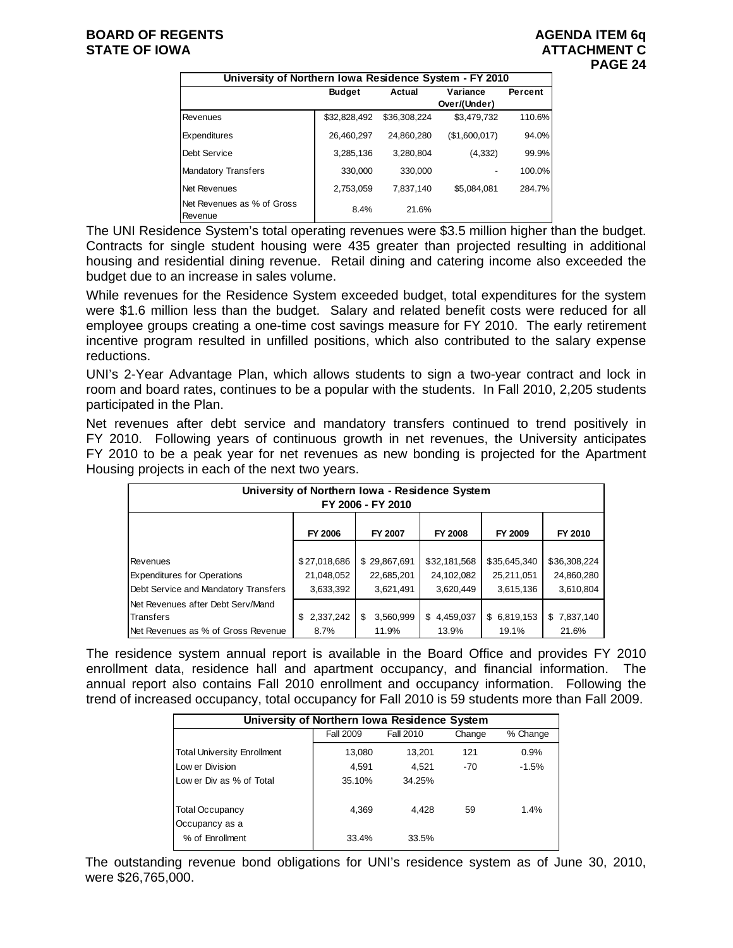| University of Northern Iowa Residence System - FY 2010 |               |              |               |         |  |  |  |  |
|--------------------------------------------------------|---------------|--------------|---------------|---------|--|--|--|--|
|                                                        | <b>Budget</b> | Actual       | Variance      | Percent |  |  |  |  |
|                                                        |               |              | Over/(Under)  |         |  |  |  |  |
| Revenues                                               | \$32,828,492  | \$36.308.224 | \$3,479,732   | 110.6%  |  |  |  |  |
| <b>Expenditures</b>                                    | 26,460,297    | 24,860,280   | (\$1,600,017) | 94.0%   |  |  |  |  |
| Debt Service                                           | 3,285,136     | 3,280,804    | (4, 332)      | 99.9%   |  |  |  |  |
| <b>Mandatory Transfers</b>                             | 330,000       | 330,000      |               | 100.0%  |  |  |  |  |
| Net Revenues                                           | 2,753,059     | 7.837.140    | \$5,084,081   | 284.7%  |  |  |  |  |
| Net Revenues as % of Gross<br>Revenue                  | 8.4%          | 21.6%        |               |         |  |  |  |  |

The UNI Residence System's total operating revenues were \$3.5 million higher than the budget. Contracts for single student housing were 435 greater than projected resulting in additional housing and residential dining revenue. Retail dining and catering income also exceeded the budget due to an increase in sales volume.

While revenues for the Residence System exceeded budget, total expenditures for the system were \$1.6 million less than the budget. Salary and related benefit costs were reduced for all employee groups creating a one-time cost savings measure for FY 2010. The early retirement incentive program resulted in unfilled positions, which also contributed to the salary expense reductions.

UNI's 2-Year Advantage Plan, which allows students to sign a two-year contract and lock in room and board rates, continues to be a popular with the students. In Fall 2010, 2,205 students participated in the Plan.

Net revenues after debt service and mandatory transfers continued to trend positively in FY 2010. Following years of continuous growth in net revenues, the University anticipates FY 2010 to be a peak year for net revenues as new bonding is projected for the Apartment Housing projects in each of the next two years.

| University of Northern Iowa - Residence System<br>FY 2006 - FY 2010 |                 |                 |                |              |              |  |  |  |  |
|---------------------------------------------------------------------|-----------------|-----------------|----------------|--------------|--------------|--|--|--|--|
|                                                                     | <b>FY 2006</b>  | FY 2007         | <b>FY 2008</b> | FY 2009      | FY 2010      |  |  |  |  |
|                                                                     |                 |                 |                |              |              |  |  |  |  |
| Revenues                                                            | \$27,018,686    | \$29,867,691    | \$32,181,568   | \$35,645,340 | \$36,308,224 |  |  |  |  |
| <b>Expenditures for Operations</b>                                  | 21,048,052      | 22,685,201      | 24,102,082     | 25,211,051   | 24,860,280   |  |  |  |  |
| Debt Service and Mandatory Transfers                                | 3,633,392       | 3,621,491       | 3,620,449      | 3,615,136    | 3,610,804    |  |  |  |  |
| Net Revenues after Debt Serv/Mand                                   |                 |                 |                |              |              |  |  |  |  |
| Transfers                                                           | 2,337,242<br>\$ | 3,560,999<br>\$ | \$4,459,037    | \$6,819,153  | \$7,837,140  |  |  |  |  |
| <b>INet Revenues as % of Gross Revenue</b>                          | 8.7%            | 11.9%           | 13.9%          | 19.1%        | 21.6%        |  |  |  |  |

The residence system annual report is available in the Board Office and provides FY 2010 enrollment data, residence hall and apartment occupancy, and financial information. The annual report also contains Fall 2010 enrollment and occupancy information. Following the trend of increased occupancy, total occupancy for Fall 2010 is 59 students more than Fall 2009.

| University of Northern Iowa Residence System |                  |           |        |          |  |  |  |  |  |
|----------------------------------------------|------------------|-----------|--------|----------|--|--|--|--|--|
|                                              | <b>Fall 2009</b> | Fall 2010 | Change | % Change |  |  |  |  |  |
| <b>Total University Enrollment</b>           | 13,080           | 13,201    | 121    | 0.9%     |  |  |  |  |  |
| Low er Division                              | 4,591            | 4.521     | $-70$  | $-1.5%$  |  |  |  |  |  |
| Low er Div as % of Total                     | 35.10%           | 34.25%    |        |          |  |  |  |  |  |
| <b>Total Occupancy</b><br>Occupancy as a     | 4.369            | 4.428     | 59     | 1.4%     |  |  |  |  |  |
| % of Enrollment                              | 33.4%            | 33.5%     |        |          |  |  |  |  |  |

The outstanding revenue bond obligations for UNI's residence system as of June 30, 2010, were \$26,765,000.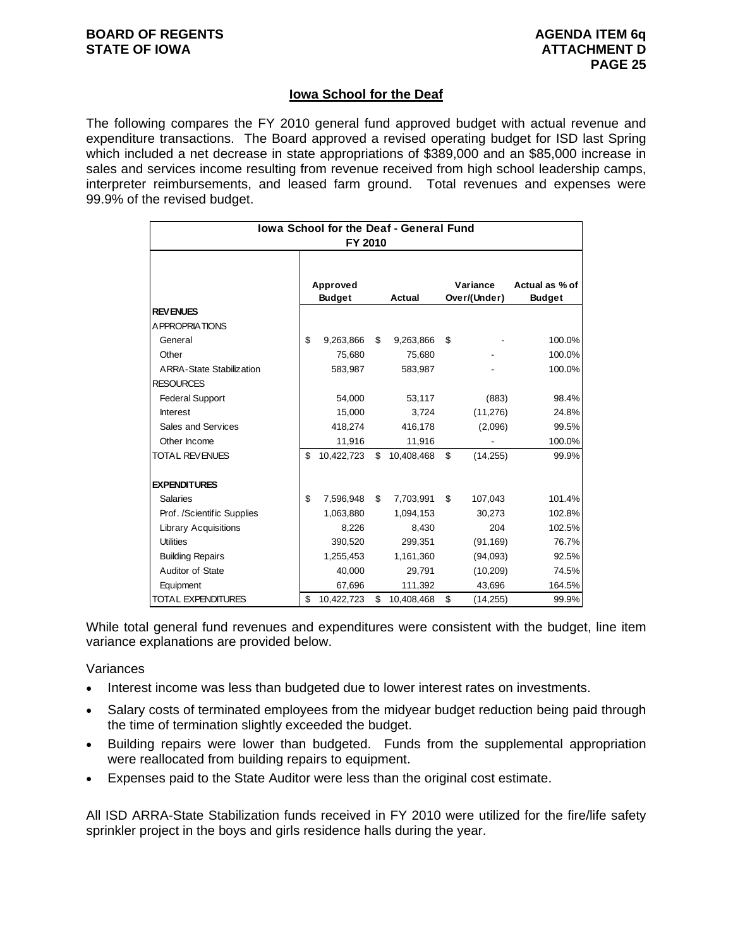#### **Iowa School for the Deaf**

The following compares the FY 2010 general fund approved budget with actual revenue and expenditure transactions. The Board approved a revised operating budget for ISD last Spring which included a net decrease in state appropriations of \$389,000 and an \$85,000 increase in sales and services income resulting from revenue received from high school leadership camps, interpreter reimbursements, and leased farm ground. Total revenues and expenses were 99.9% of the revised budget.

| lowa School for the Deaf - General Fund<br>FY 2010 |    |                           |    |            |    |                          |                                 |  |
|----------------------------------------------------|----|---------------------------|----|------------|----|--------------------------|---------------------------------|--|
|                                                    |    |                           |    |            |    |                          |                                 |  |
|                                                    |    | Approved<br><b>Budget</b> |    | Actual     |    | Variance<br>Over/(Under) | Actual as % of<br><b>Budget</b> |  |
| <b>REVENUES</b>                                    |    |                           |    |            |    |                          |                                 |  |
| A PPROPRIATIONS                                    |    |                           |    |            |    |                          |                                 |  |
| General                                            | \$ | 9,263,866                 | \$ | 9,263,866  | \$ |                          | 100.0%                          |  |
| Other                                              |    | 75,680                    |    | 75,680     |    |                          | 100.0%                          |  |
| <b>ARRA-State Stabilization</b>                    |    | 583,987                   |    | 583,987    |    |                          | 100.0%                          |  |
| <b>RESOURCES</b>                                   |    |                           |    |            |    |                          |                                 |  |
| <b>Federal Support</b>                             |    | 54,000                    |    | 53,117     |    | (883)                    | 98.4%                           |  |
| Interest                                           |    | 15,000                    |    | 3,724      |    | (11, 276)                | 24.8%                           |  |
| Sales and Services                                 |    | 418,274                   |    | 416,178    |    | (2,096)                  | 99.5%                           |  |
| Other Income                                       |    | 11,916                    |    | 11,916     |    |                          | 100.0%                          |  |
| TOTAL REVENUES                                     | \$ | 10,422,723                | \$ | 10,408,468 | \$ | (14, 255)                | 99.9%                           |  |
| <b>EXPENDITURES</b>                                |    |                           |    |            |    |                          |                                 |  |
| <b>Salaries</b>                                    | \$ | 7,596,948                 | \$ | 7,703,991  | \$ | 107,043                  | 101.4%                          |  |
| Prof. /Scientific Supplies                         |    | 1,063,880                 |    | 1,094,153  |    | 30,273                   | 102.8%                          |  |
| <b>Library Acquisitions</b>                        |    | 8,226                     |    | 8,430      |    | 204                      | 102.5%                          |  |
| <b>Utilities</b>                                   |    | 390,520                   |    | 299,351    |    | (91, 169)                | 76.7%                           |  |
| <b>Building Repairs</b>                            |    | 1,255,453                 |    | 1,161,360  |    | (94,093)                 | 92.5%                           |  |
| Auditor of State                                   |    | 40,000                    |    | 29,791     |    | (10, 209)                | 74.5%                           |  |
| Equipment                                          |    | 67,696                    |    | 111,392    |    | 43,696                   | 164.5%                          |  |
| TOTAL EXPENDITURES                                 | \$ | 10,422,723                | \$ | 10,408,468 | \$ | (14, 255)                | 99.9%                           |  |

While total general fund revenues and expenditures were consistent with the budget, line item variance explanations are provided below.

**Variances** 

- Interest income was less than budgeted due to lower interest rates on investments.
- Salary costs of terminated employees from the midyear budget reduction being paid through the time of termination slightly exceeded the budget.
- Building repairs were lower than budgeted. Funds from the supplemental appropriation were reallocated from building repairs to equipment.
- Expenses paid to the State Auditor were less than the original cost estimate.

All ISD ARRA-State Stabilization funds received in FY 2010 were utilized for the fire/life safety sprinkler project in the boys and girls residence halls during the year.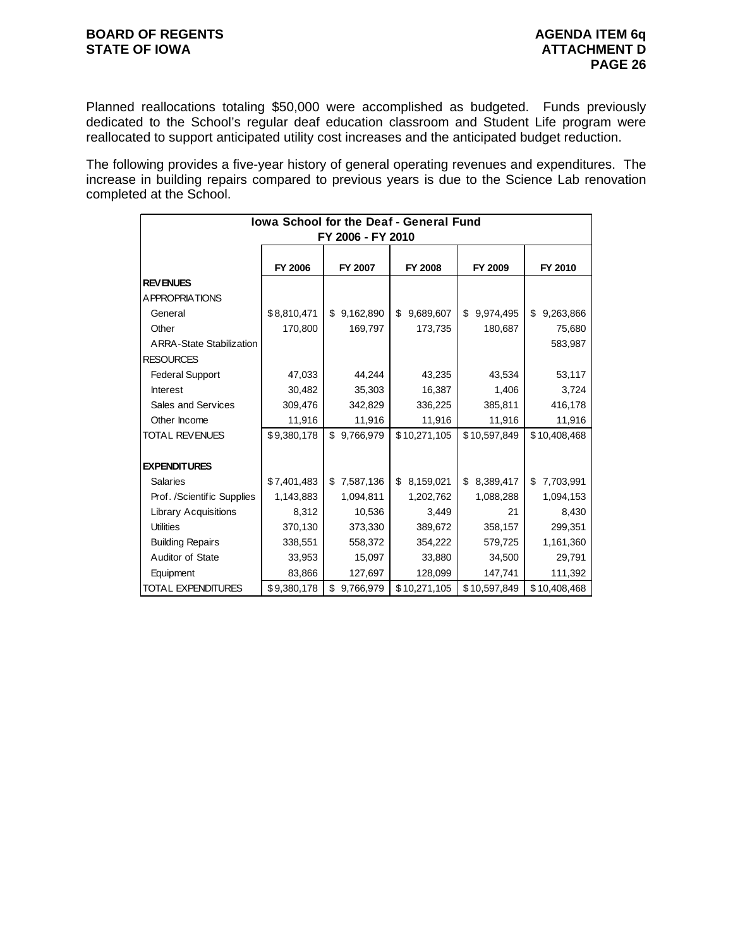### **BOARD OF REGENTS**<br> **BOARD OF REGENTS**<br> **STATE OF IOWA**

Planned reallocations totaling \$50,000 were accomplished as budgeted. Funds previously dedicated to the School's regular deaf education classroom and Student Life program were reallocated to support anticipated utility cost increases and the anticipated budget reduction.

The following provides a five-year history of general operating revenues and expenditures. The increase in building repairs compared to previous years is due to the Science Lab renovation completed at the School.

| Iowa School for the Deaf - General Fund |             |                   |                 |                 |                 |  |  |  |  |
|-----------------------------------------|-------------|-------------------|-----------------|-----------------|-----------------|--|--|--|--|
|                                         |             | FY 2006 - FY 2010 |                 |                 |                 |  |  |  |  |
|                                         |             |                   |                 |                 |                 |  |  |  |  |
|                                         | FY 2006     | FY 2007           | <b>FY 2008</b>  | FY 2009         | FY 2010         |  |  |  |  |
| <b>REVENUES</b>                         |             |                   |                 |                 |                 |  |  |  |  |
| <b>APPROPRIATIONS</b>                   |             |                   |                 |                 |                 |  |  |  |  |
| General                                 | \$8,810,471 | \$9,162,890       | \$<br>9,689,607 | 9,974,495<br>\$ | \$<br>9,263,866 |  |  |  |  |
| Other                                   | 170,800     | 169,797           | 173,735         | 180,687         | 75,680          |  |  |  |  |
| <b>ARRA-State Stabilization</b>         |             |                   |                 |                 | 583,987         |  |  |  |  |
| <b>RESOURCES</b>                        |             |                   |                 |                 |                 |  |  |  |  |
| <b>Federal Support</b>                  | 47,033      | 44,244            | 43,235          | 43,534          | 53,117          |  |  |  |  |
| <b>Interest</b>                         | 30,482      | 35,303            | 16,387          | 1,406           | 3,724           |  |  |  |  |
| Sales and Services                      | 309,476     | 342,829           | 336,225         | 385,811         | 416,178         |  |  |  |  |
| Other Income                            | 11,916      | 11,916            | 11,916          | 11,916          | 11,916          |  |  |  |  |
| <b>TOTAL REVENUES</b>                   | \$9,380,178 | \$9,766,979       | \$10,271,105    | \$10,597,849    | \$10,408,468    |  |  |  |  |
|                                         |             |                   |                 |                 |                 |  |  |  |  |
| <b>EXPENDITURES</b>                     |             |                   |                 |                 |                 |  |  |  |  |
| <b>Salaries</b>                         | \$7,401,483 | 7,587,136<br>\$   | 8,159,021<br>\$ | 8,389,417<br>\$ | 7,703,991<br>\$ |  |  |  |  |
| Prof. /Scientific Supplies              | 1,143,883   | 1,094,811         | 1,202,762       | 1,088,288       | 1,094,153       |  |  |  |  |
| <b>Library Acquisitions</b>             | 8,312       | 10,536            | 3,449           | 21              | 8,430           |  |  |  |  |
| <b>Utilities</b>                        | 370,130     | 373,330           | 389,672         | 358,157         | 299,351         |  |  |  |  |
| <b>Building Repairs</b>                 | 338,551     | 558,372           | 354,222         | 579,725         | 1,161,360       |  |  |  |  |
| Auditor of State                        | 33,953      | 15,097            | 33,880          | 34,500          | 29,791          |  |  |  |  |
| Equipment                               | 83,866      | 127,697           | 128,099         | 147,741         | 111,392         |  |  |  |  |
| <b>TOTAL EXPENDITURES</b>               | \$9,380,178 | \$<br>9,766,979   | \$10,271,105    | \$10,597,849    | \$10,408,468    |  |  |  |  |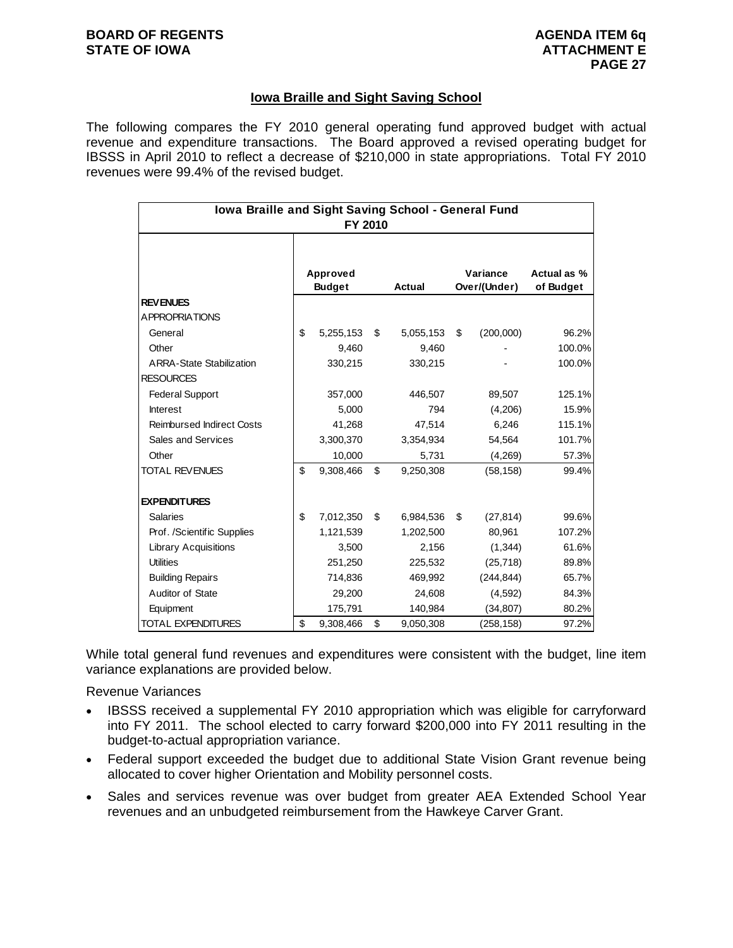#### **Iowa Braille and Sight Saving School**

The following compares the FY 2010 general operating fund approved budget with actual revenue and expenditure transactions. The Board approved a revised operating budget for IBSSS in April 2010 to reflect a decrease of \$210,000 in state appropriations. Total FY 2010 revenues were 99.4% of the revised budget.

| Iowa Braille and Sight Saving School - General Fund<br>FY 2010 |    |               |    |               |    |              |             |  |
|----------------------------------------------------------------|----|---------------|----|---------------|----|--------------|-------------|--|
|                                                                |    |               |    |               |    |              |             |  |
|                                                                |    | Approved      |    |               |    | Variance     | Actual as % |  |
|                                                                |    | <b>Budget</b> |    | <b>Actual</b> |    | Over/(Under) | of Budget   |  |
| <b>REVENUES</b>                                                |    |               |    |               |    |              |             |  |
| <b>APPROPRIATIONS</b>                                          |    |               |    |               |    |              |             |  |
| General                                                        | \$ | 5,255,153     | \$ | 5,055,153     | \$ | (200,000)    | 96.2%       |  |
| Other                                                          |    | 9,460         |    | 9,460         |    |              | 100.0%      |  |
| <b>ARRA-State Stabilization</b>                                |    | 330,215       |    | 330,215       |    |              | 100.0%      |  |
| <b>RESOURCES</b>                                               |    |               |    |               |    |              |             |  |
| <b>Federal Support</b>                                         |    | 357,000       |    | 446,507       |    | 89,507       | 125.1%      |  |
| <b>Interest</b>                                                |    | 5,000         |    | 794           |    | (4,206)      | 15.9%       |  |
| <b>Reimbursed Indirect Costs</b>                               |    | 41,268        |    | 47,514        |    | 6,246        | 115.1%      |  |
| Sales and Services                                             |    | 3,300,370     |    | 3,354,934     |    | 54,564       | 101.7%      |  |
| Other                                                          |    | 10,000        |    | 5,731         |    | (4,269)      | 57.3%       |  |
| <b>TOTAL REVENUES</b>                                          | \$ | 9,308,466     | \$ | 9,250,308     |    | (58, 158)    | 99.4%       |  |
| <b>EXPENDITURES</b>                                            |    |               |    |               |    |              |             |  |
| <b>Salaries</b>                                                | \$ | 7,012,350     | \$ | 6,984,536     | \$ | (27, 814)    | 99.6%       |  |
| Prof. /Scientific Supplies                                     |    | 1,121,539     |    | 1,202,500     |    | 80,961       | 107.2%      |  |
| <b>Library Acquisitions</b>                                    |    | 3,500         |    | 2,156         |    | (1,344)      | 61.6%       |  |
| <b>Utilities</b>                                               |    | 251,250       |    | 225,532       |    | (25, 718)    | 89.8%       |  |
| <b>Building Repairs</b>                                        |    | 714,836       |    | 469,992       |    | (244, 844)   | 65.7%       |  |
| Auditor of State                                               |    | 29,200        |    | 24,608        |    | (4,592)      | 84.3%       |  |
| Equipment                                                      |    | 175,791       |    | 140,984       |    | (34, 807)    | 80.2%       |  |
| TOTAL EXPENDITURES                                             | \$ | 9,308,466     | \$ | 9,050,308     |    | (258,158)    | 97.2%       |  |

While total general fund revenues and expenditures were consistent with the budget, line item variance explanations are provided below.

Revenue Variances

- IBSSS received a supplemental FY 2010 appropriation which was eligible for carryforward into FY 2011. The school elected to carry forward \$200,000 into FY 2011 resulting in the budget-to-actual appropriation variance.
- Federal support exceeded the budget due to additional State Vision Grant revenue being allocated to cover higher Orientation and Mobility personnel costs.
- Sales and services revenue was over budget from greater AEA Extended School Year revenues and an unbudgeted reimbursement from the Hawkeye Carver Grant.